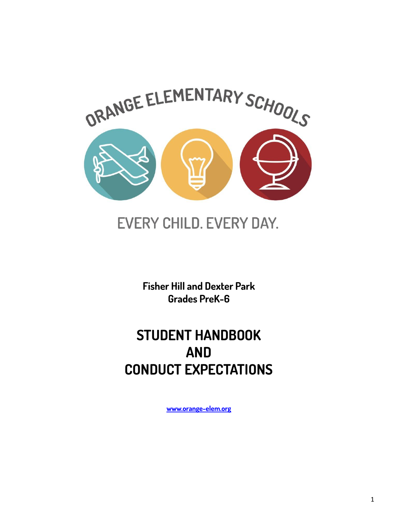

# EVERY CHILD. EVERY DAY.

**Fisher Hill and Dexter Park Grades PreK-6**

## **STUDENT HANDBOOK AND CONDUCT EXPECTATIONS**

**[www.orange-elem.org](http://www.orange-elem.org)**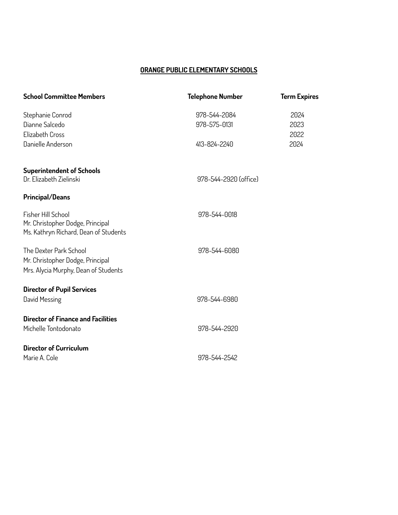## **ORANGE PUBLIC ELEMENTARY SCHOOLS**

| <b>School Committee Members</b>                                           | <b>Telephone Number</b> | <b>Term Expires</b> |
|---------------------------------------------------------------------------|-------------------------|---------------------|
| Stephanie Conrod                                                          | 978-544-2084            | 2024                |
| Dianne Salcedo                                                            | 978-575-0131            | 2023                |
| Elizabeth Cross                                                           |                         | 2022                |
| Danielle Anderson                                                         | 413-824-2240            | 2024                |
| <b>Superintendent of Schools</b>                                          |                         |                     |
| Dr. Elizabeth Zielinski                                                   | 978-544-2920 (office)   |                     |
| <b>Principal/Deans</b>                                                    |                         |                     |
| Fisher Hill School                                                        | 978-544-0018            |                     |
| Mr. Christopher Dodge, Principal<br>Ms. Kathryn Richard, Dean of Students |                         |                     |
| The Dexter Park School                                                    | 978-544-6080            |                     |
| Mr. Christopher Dodge, Principal                                          |                         |                     |
| Mrs. Alycia Murphy, Dean of Students                                      |                         |                     |
| <b>Director of Pupil Services</b>                                         |                         |                     |
| David Messing                                                             | 978-544-6980            |                     |
| <b>Director of Finance and Facilities</b>                                 |                         |                     |
| Michelle Tontodonato                                                      | 978-544-2920            |                     |
| Director of Curriculum                                                    |                         |                     |
| Marie A. Cole                                                             | 978-544-2542            |                     |
|                                                                           |                         |                     |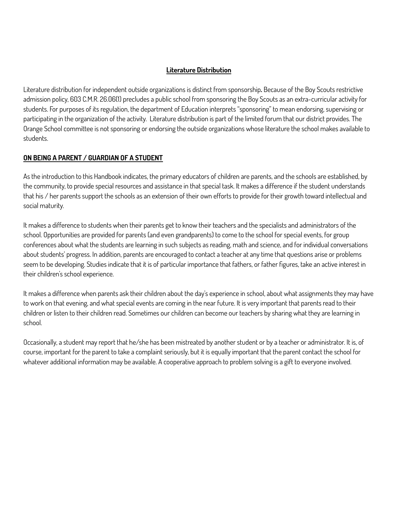### **Literature Distribution**

Literature distribution for independent outside organizations is distinct from sponsorship**.** Because of the Boy Scouts restrictive admission policy, 603 C.M.R. 26.06(1) precludes a public school from sponsoring the Boy Scouts as an extra-curricular activity for students. For purposes of its regulation, the department of Education interprets "sponsoring" to mean endorsing, supervising or participating in the organization of the activity. Literature distribution is part of the limited forum that our district provides. The Orange School committee is not sponsoring or endorsing the outside organizations whose literature the school makes available to students.

## **ON BEING A PARENT / GUARDIAN OF A STUDENT**

As the introduction to this Handbook indicates, the primary educators of children are parents, and the schools are established, by the community, to provide special resources and assistance in that special task. It makes a difference if the student understands that his / her parents support the schools as an extension of their own efforts to provide for their growth toward intellectual and social maturity.

It makes a difference to students when their parents get to know their teachers and the specialists and administrators of the school. Opportunities are provided for parents (and even grandparents) to come to the school for special events, for group conferences about what the students are learning in such subjects as reading, math and science, and for individual conversations about students' progress. In addition, parents are encouraged to contact a teacher at any time that questions arise or problems seem to be developing. Studies indicate that it is of particular importance that fathers, or father figures, take an active interest in their children's school experience.

It makes a difference when parents ask their children about the day's experience in school, about what assignments they may have to work on that evening, and what special events are coming in the near future. It is very important that parents read to their children or listen to their children read. Sometimes our children can become our teachers by sharing what they are learning in school.

Occasionally, a student may report that he/she has been mistreated by another student or by a teacher or administrator. It is, of course, important for the parent to take a complaint seriously, but it is equally important that the parent contact the school for whatever additional information may be available. A cooperative approach to problem solving is a gift to everyone involved.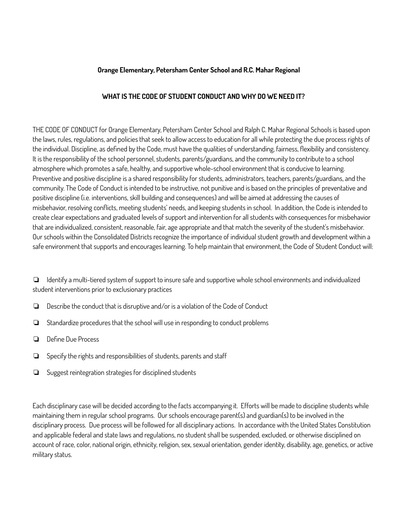#### **Orange Elementary, Petersham Center School and R.C. Mahar Regional**

## **WHAT IS THE CODE OF STUDENT CONDUCT AND WHY DO WE NEED IT?**

THE CODE OF CONDUCT for Orange Elementary, Petersham Center School and Ralph C. Mahar Regional Schools is based upon the laws, rules, regulations, and policies that seek to allow access to education for all while protecting the due process rights of the individual. Discipline, as defined by the Code, must have the qualities of understanding, fairness, flexibility and consistency. It is the responsibility of the school personnel, students, parents/guardians, and the community to contribute to a school atmosphere which promotes a safe, healthy, and supportive whole-school environment that is conducive to learning. Preventive and positive discipline is a shared responsibility for students, administrators, teachers, parents/guardians, and the community. The Code of Conduct is intended to be instructive, not punitive and is based on the principles of preventative and positive discipline (i.e. interventions, skill building and consequences) and will be aimed at addressing the causes of misbehavior, resolving conflicts, meeting students' needs, and keeping students in school. In addition, the Code is intended to create clear expectations and graduated levels of support and intervention for all students with consequences for misbehavior that are individualized, consistent, reasonable, fair, age appropriate and that match the severity of the student's misbehavior. Our schools within the Consolidated Districts recognize the importance of individual student growth and development within a safe environment that supports and encourages learning. To help maintain that environment, the Code of Student Conduct will:

❏ Identify a multi-tiered system of support to insure safe and supportive whole school environments and individualized student interventions prior to exclusionary practices

- ❏ Describe the conduct that is disruptive and/or is a violation of the Code of Conduct
- ❏ Standardize procedures that the school will use in responding to conduct problems
- ❏ Define Due Process
- ❏ Specify the rights and responsibilities of students, parents and staff
- ❏ Suggest reintegration strategies for disciplined students

Each disciplinary case will be decided according to the facts accompanying it. Efforts will be made to discipline students while maintaining them in regular school programs. Our schools encourage parent(s) and guardian(s) to be involved in the disciplinary process. Due process will be followed for all disciplinary actions. In accordance with the United States Constitution and applicable federal and state laws and regulations, no student shall be suspended, excluded, or otherwise disciplined on account of race, color, national origin, ethnicity, religion, sex, sexual orientation, gender identity, disability, age, genetics, or active military status.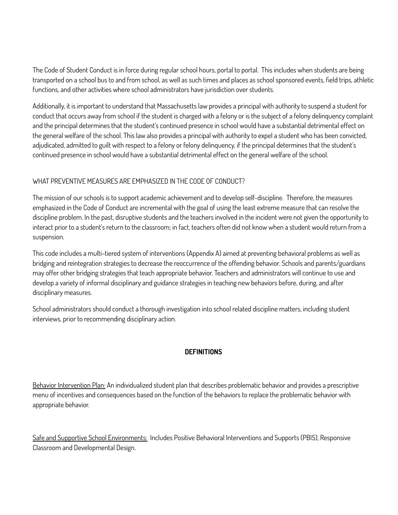The Code of Student Conduct is in force during regular school hours, portal to portal. This includes when students are being transported on a school bus to and from school, as well as such times and places as school sponsored events, field trips, athletic functions, and other activities where school administrators have jurisdiction over students.

Additionally, it is important to understand that Massachusetts law provides a principal with authority to suspend a student for conduct that occurs away from school if the student is charged with a felony or is the subject of a felony delinquency complaint and the principal determines that the student's continued presence in school would have a substantial detrimental effect on the general welfare of the school. This law also provides a principal with authority to expel a student who has been convicted, adjudicated, admitted to guilt with respect to a felony or felony delinquency, if the principal determines that the student's continued presence in school would have a substantial detrimental effect on the general welfare of the school.

## WHAT PREVENTIVE MEASURES ARE EMPHASIZED IN THE CODE OF CONDUCT?

The mission of our schools is to support academic achievement and to develop self-discipline. Therefore, the measures emphasized in the Code of Conduct are incremental with the goal of using the least extreme measure that can resolve the discipline problem. In the past, disruptive students and the teachers involved in the incident were not given the opportunity to interact prior to a student's return to the classroom; in fact, teachers often did not know when a student would return from a suspension.

This code includes a multi-tiered system of interventions (Appendix A) aimed at preventing behavioral problems as well as bridging and reintegration strategies to decrease the reoccurrence of the offending behavior. Schools and parents/guardians may offer other bridging strategies that teach appropriate behavior. Teachers and administrators will continue to use and develop a variety of informal disciplinary and guidance strategies in teaching new behaviors before, during, and after disciplinary measures.

School administrators should conduct a thorough investigation into school related discipline matters, including student interviews, prior to recommending disciplinary action.

## **DEFINITIONS**

Behavior Intervention Plan: An individualized student plan that describes problematic behavior and provides a prescriptive menu of incentives and consequences based on the function of the behaviors to replace the problematic behavior with appropriate behavior.

Safe and Supportive School Environments: Includes Positive Behavioral Interventions and Supports (PBIS), Responsive Classroom and Developmental Design.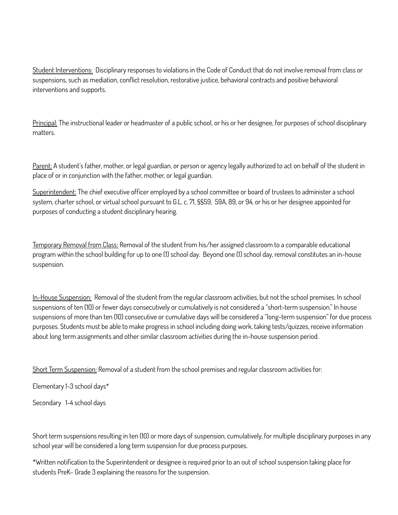Student Interventions: Disciplinary responses to violations in the Code of Conduct that do not involve removal from class or suspensions, such as mediation, conflict resolution, restorative justice, behavioral contracts and positive behavioral interventions and supports.

Principal: The instructional leader or headmaster of a public school, or his or her designee, for purposes of school disciplinary matters.

Parent: A student's father, mother, or legal guardian, or person or agency legally authorized to act on behalf of the student in place of or in conjunction with the father, mother, or legal guardian.

Superintendent: The chief executive officer employed by a school committee or board of trustees to administer a school system, charter school, or virtual school pursuant to G.L. c. 71, §§59, 59A, 89, or 94, or his or her designee appointed for purposes of conducting a student disciplinary hearing.

Temporary Removal from Class: Removal of the student from his/her assigned classroom to a comparable educational program within the school building for up to one (1) school day. Beyond one (1) school day, removal constitutes an in-house suspension.

In-House Suspension: Removal of the student from the regular classroom activities, but not the school premises. In school suspensions of ten (10) or fewer days consecutively or cumulatively is not considered a "short-term suspension." In house suspensions of more than ten (10) consecutive or cumulative days will be considered a "long-term suspension" for due process purposes. Students must be able to make progress in school including doing work, taking tests/quizzes, receive information about long term assignments and other similar classroom activities during the in-house suspension period.

Short Term Suspension: Removal of a student from the school premises and regular classroom activities for:

Elementary 1-3 school days\*

Secondary 1-4 school days

Short term suspensions resulting in ten (10) or more days of suspension, cumulatively, for multiple disciplinary purposes in any school year will be considered a long term suspension for due process purposes.

\*Written notification to the Superintendent or designee is required prior to an out of school suspension taking place for students PreK- Grade 3 explaining the reasons for the suspension.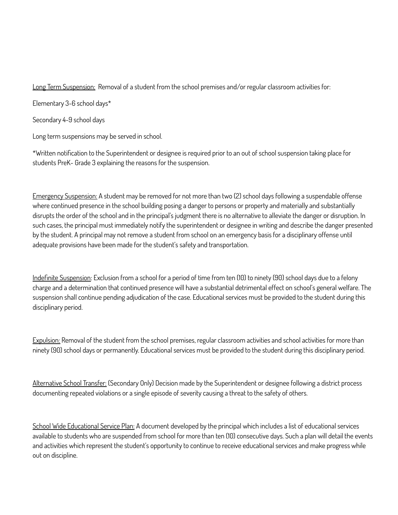Long Term Suspension: Removal of a student from the school premises and/or regular classroom activities for:

Elementary 3-6 school days\*

Secondary 4-9 school days

Long term suspensions may be served in school.

\*Written notification to the Superintendent or designee is required prior to an out of school suspension taking place for students PreK- Grade 3 explaining the reasons for the suspension.

Emergency Suspension: A student may be removed for not more than two (2) school days following a suspendable offense where continued presence in the school building posing a danger to persons or property and materially and substantially disrupts the order of the school and in the principal's judgment there is no alternative to alleviate the danger or disruption. In such cases, the principal must immediately notify the superintendent or designee in writing and describe the danger presented by the student. A principal may not remove a student from school on an emergency basis for a disciplinary offense until adequate provisions have been made for the student's safety and transportation.

Indefinite Suspension: Exclusion from a school for a period of time from ten (10) to ninety (90) school days due to a felony charge and a determination that continued presence will have a substantial detrimental effect on school's general welfare. The suspension shall continue pending adjudication of the case. Educational services must be provided to the student during this disciplinary period.

Expulsion: Removal of the student from the school premises, regular classroom activities and school activities for more than ninety (90) school days or permanently. Educational services must be provided to the student during this disciplinary period.

Alternative School Transfer: (Secondary Only) Decision made by the Superintendent or designee following a district process documenting repeated violations or a single episode of severity causing a threat to the safety of others.

School Wide Educational Service Plan: A document developed by the principal which includes a list of educational services available to students who are suspended from school for more than ten (10) consecutive days. Such a plan will detail the events and activities which represent the student's opportunity to continue to receive educational services and make progress while out on discipline.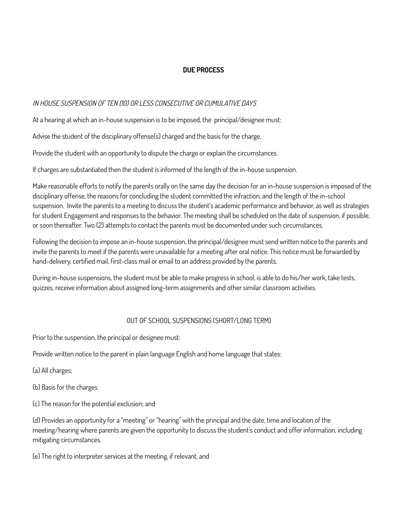## **DUE PROCESS**

#### IN HOUSE SUSPENSION OF TEN (10) OR LESS CONSECUTIVE OR CUMULATIVE DAYS

At a hearing at which an in-house suspension is to be imposed, the principal/designee must:

Advise the student of the disciplinary offense(s) charged and the basis for the charge.

Provide the student with an opportunity to dispute the charge or explain the circumstances.

If charges are substantiated then the student is informed of the length of the in-house suspension.

Make reasonable efforts to notify the parents orally on the same day the decision for an in-house suspension is imposed of the disciplinary offense, the reasons for concluding the student committed the infraction, and the length of the in-school suspension. Invite the parents to a meeting to discuss the student's academic performance and behavior, as well as strategies for student Engagement and responses to the behavior. The meeting shall be scheduled on the date of suspension, if possible, or soon thereafter. Two (2) attempts to contact the parents must be documented under such circumstances.

Following the decision to impose an in-house suspension, the principal/designee must send written notice to the parents and invite the parents to meet if the parents were unavailable for a meeting after oral notice. This notice must be forwarded by hand-delivery, certified mail, first-class mail or email to an address provided by the parents.

During in-house suspensions, the student must be able to make progress in school, is able to do his/her work, take tests, quizzes, receive information about assigned long-term assignments and other similar classroom activities.

## OUT OF SCHOOL SUSPENSIONS (SHORT/LONG TERM)

Prior to the suspension, the principal or designee must:

Provide written notice to the parent in plain language English and home language that states:

(a) All charges;

(b) Basis for the charges

(c) The reason for the potential exclusion; and

(d) Provides an opportunity for a "meeting" or "hearing" with the principal and the date, time and location of the meeting/hearing where parents are given the opportunity to discuss the student's conduct and offer information, including mitigating circumstances.

(e) The right to interpreter services at the meeting, if relevant, and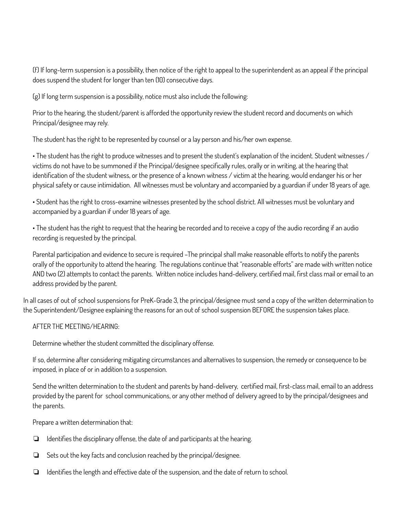(f) If long-term suspension is a possibility, then notice of the right to appeal to the superintendent as an appeal if the principal does suspend the student for longer than ten (10) consecutive days.

(g) If long term suspension is a possibility, notice must also include the following:

Prior to the hearing, the student/parent is afforded the opportunity review the student record and documents on which Principal/designee may rely.

The student has the right to be represented by counsel or a lay person and his/her own expense.

• The student has the right to produce witnesses and to present the student's explanation of the incident. Student witnesses / victims do not have to be summoned if the Principal/designee specifically rules, orally or in writing, at the hearing that identification of the student witness, or the presence of a known witness / victim at the hearing, would endanger his or her physical safety or cause intimidation. All witnesses must be voluntary and accompanied by a guardian if under 18 years of age.

• Student has the right to cross-examine witnesses presented by the school district. All witnesses must be voluntary and accompanied by a guardian if under 18 years of age.

• The student has the right to request that the hearing be recorded and to receive a copy of the audio recording if an audio recording is requested by the principal.

Parental participation and evidence to secure is required –The principal shall make reasonable efforts to notify the parents orally of the opportunity to attend the hearing. The regulations continue that "reasonable efforts" are made with written notice AND two (2) attempts to contact the parents. Written notice includes hand-delivery, certified mail, first class mail or email to an address provided by the parent.

In all cases of out of school suspensions for PreK-Grade 3, the principal/designee must send a copy of the written determination to the Superintendent/Designee explaining the reasons for an out of school suspension BEFORE the suspension takes place.

#### AFTER THE MEETING/HEARING:

Determine whether the student committed the disciplinary offense.

If so, determine after considering mitigating circumstances and alternatives to suspension, the remedy or consequence to be imposed, in place of or in addition to a suspension.

Send the written determination to the student and parents by hand-delivery, certified mail, first-class mail, email to an address provided by the parent for school communications, or any other method of delivery agreed to by the principal/designees and the parents.

Prepare a written determination that:

- ❏ Identifies the disciplinary offense, the date of and participants at the hearing.
- ❏ Sets out the key facts and conclusion reached by the principal/designee.
- ❏ Identifies the length and effective date of the suspension, and the date of return to school.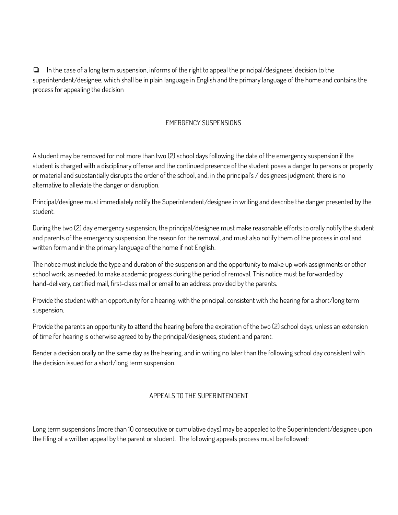❏ In the case of a long term suspension, informs of the right to appeal the principal/designees' decision to the superintendent/designee, which shall be in plain language in English and the primary language of the home and contains the process for appealing the decision

## EMERGENCY SUSPENSIONS

A student may be removed for not more than two (2) school days following the date of the emergency suspension if the student is charged with a disciplinary offense and the continued presence of the student poses a danger to persons or property or material and substantially disrupts the order of the school, and, in the principal's / designees judgment, there is no alternative to alleviate the danger or disruption.

Principal/designee must immediately notify the Superintendent/designee in writing and describe the danger presented by the student.

During the two (2) day emergency suspension, the principal/designee must make reasonable efforts to orally notify the student and parents of the emergency suspension, the reason for the removal, and must also notify them of the process in oral and written form and in the primary language of the home if not English.

The notice must include the type and duration of the suspension and the opportunity to make up work assignments or other school work, as needed, to make academic progress during the period of removal. This notice must be forwarded by hand-delivery, certified mail, first-class mail or email to an address provided by the parents.

Provide the student with an opportunity for a hearing, with the principal, consistent with the hearing for a short/long term suspension.

Provide the parents an opportunity to attend the hearing before the expiration of the two (2) school days, unless an extension of time for hearing is otherwise agreed to by the principal/designees, student, and parent.

Render a decision orally on the same day as the hearing, and in writing no later than the following school day consistent with the decision issued for a short/long term suspension.

## APPEALS TO THE SUPERINTENDENT

Long term suspensions (more than 10 consecutive or cumulative days) may be appealed to the Superintendent/designee upon the filing of a written appeal by the parent or student. The following appeals process must be followed: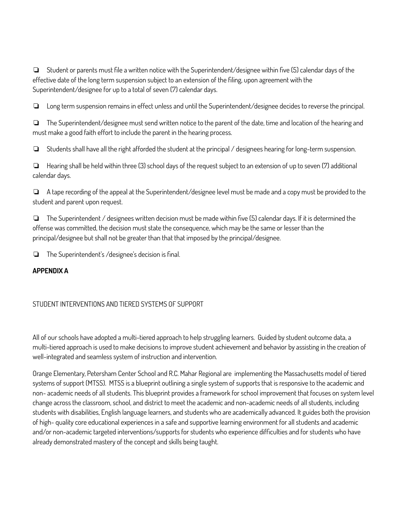❏ Student or parents must file a written notice with the Superintendent/designee within five (5) calendar days of the effective date of the long term suspension subject to an extension of the filing, upon agreement with the Superintendent/designee for up to a total of seven (7) calendar days.

❏ Long term suspension remains in effect unless and until the Superintendent/designee decides to reverse the principal.

❏ The Superintendent/designee must send written notice to the parent of the date, time and location of the hearing and must make a good faith effort to include the parent in the hearing process.

❏ Students shall have all the right afforded the student at the principal / designees hearing for long-term suspension.

❏ Hearing shall be held within three (3) school days of the request subject to an extension of up to seven (7) additional calendar days.

❏ A tape recording of the appeal at the Superintendent/designee level must be made and a copy must be provided to the student and parent upon request.

❏ The Superintendent / designees written decision must be made within five (5) calendar days. If it is determined the offense was committed, the decision must state the consequence, which may be the same or lesser than the principal/designee but shall not be greater than that that imposed by the principal/designee.

❏ The Superintendent's /designee's decision is final.

#### **APPENDIX A**

## STUDENT INTERVENTIONS AND TIERED SYSTEMS OF SUPPORT

All of our schools have adopted a multi-tiered approach to help struggling learners. Guided by student outcome data, a multi-tiered approach is used to make decisions to improve student achievement and behavior by assisting in the creation of well-integrated and seamless system of instruction and intervention.

Orange Elementary, Petersham Center School and R.C. Mahar Regional are implementing the Massachusetts model of tiered systems of support (MTSS). MTSS is a blueprint outlining a single system of supports that is responsive to the academic and non- academic needs of all students. This blueprint provides a framework for school improvement that focuses on system level change across the classroom, school, and district to meet the academic and non-academic needs of all students, including students with disabilities, English language learners, and students who are academically advanced. It guides both the provision of high- quality core educational experiences in a safe and supportive learning environment for all students and academic and/or non-academic targeted interventions/supports for students who experience difficulties and for students who have already demonstrated mastery of the concept and skills being taught.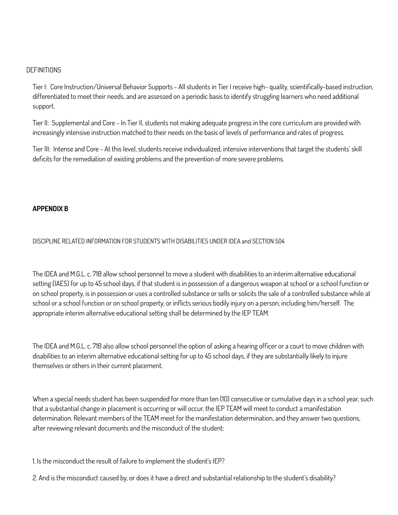#### **DEFINITIONS**

Tier I: Core Instruction/Universal Behavior Supports - All students in Tier I receive high- quality, scientifically-based instruction, differentiated to meet their needs, and are assessed on a periodic basis to identify struggling learners who need additional support.

Tier II: Supplemental and Core - In Tier II, students not making adequate progress in the core curriculum are provided with increasingly intensive instruction matched to their needs on the basis of levels of performance and rates of progress.

Tier III: Intense and Core - At this level, students receive individualized, intensive interventions that target the students' skill deficits for the remediation of existing problems and the prevention of more severe problems.

#### **APPENDIX B**

#### DISCIPLINE RELATED INFORMATION FOR STUDENTS WITH DISABILITIES UNDER IDEA and SECTION 504

The IDEA and M.G.L. c. 71B allow school personnel to move a student with disabilities to an interim alternative educational setting (IAES) for up to 45 school days, if that student is in possession of a dangerous weapon at school or a school function or on school property, is in possession or uses a controlled substance or sells or solicits the sale of a controlled substance while at school or a school function or on school property, or inflicts serious bodily injury on a person, including him/herself. The appropriate interim alternative educational setting shall be determined by the IEP TEAM.

The IDEA and M.G.L. c. 71B also allow school personnel the option of asking a hearing officer or a court to move children with disabilities to an interim alternative educational setting for up to 45 school days, if they are substantially likely to injure themselves or others in their current placement.

When a special needs student has been suspended for more than ten (10) consecutive or cumulative days in a school year, such that a substantial change in placement is occurring or will occur, the IEP TEAM will meet to conduct a manifestation determination. Relevant members of the TEAM meet for the manifestation determination, and they answer two questions, after reviewing relevant documents and the misconduct of the student:

1. Is the misconduct the result of failure to implement the student's IEP?

2. And is the misconduct caused by, or does it have a direct and substantial relationship to the student's disability?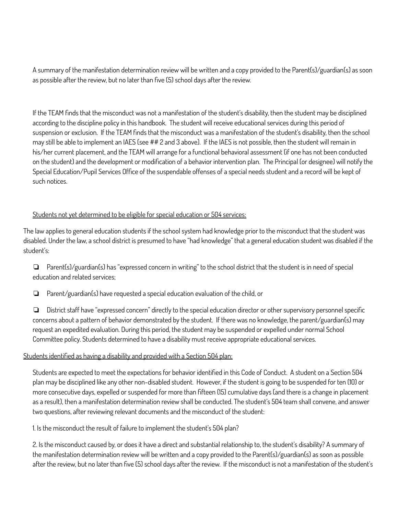A summary of the manifestation determination review will be written and a copy provided to the Parent(s)/guardian(s) as soon as possible after the review, but no later than five (5) school days after the review.

If the TEAM finds that the misconduct was not a manifestation of the student's disability, then the student may be disciplined according to the discipline policy in this handbook. The student will receive educational services during this period of suspension or exclusion. If the TEAM finds that the misconduct was a manifestation of the student's disability, then the school may still be able to implement an IAES (see ## 2 and 3 above). If the IAES is not possible, then the student will remain in his/her current placement, and the TEAM will arrange for a functional behavioral assessment (if one has not been conducted on the student) and the development or modification of a behavior intervention plan. The Principal (or designee) will notify the Special Education/Pupil Services Office of the suspendable offenses of a special needs student and a record will be kept of such notices.

## Students not yet determined to be eligible for special education or 504 services:

The law applies to general education students if the school system had knowledge prior to the misconduct that the student was disabled. Under the law, a school district is presumed to have "had knowledge" that a general education student was disabled if the student's:

❏ Parent(s)/guardian(s) has "expressed concern in writing" to the school district that the student is in need of special education and related services;

❏ Parent/guardian(s) have requested a special education evaluation of the child, or

❏ District staff have "expressed concern" directly to the special education director or other supervisory personnel specific concerns about a pattern of behavior demonstrated by the student. If there was no knowledge, the parent/guardian(s) may request an expedited evaluation. During this period, the student may be suspended or expelled under normal School Committee policy. Students determined to have a disability must receive appropriate educational services.

#### Students identified as having a disability and provided with a Section 504 plan:

Students are expected to meet the expectations for behavior identified in this Code of Conduct. A student on a Section 504 plan may be disciplined like any other non-disabled student. However, if the student is going to be suspended for ten (10) or more consecutive days, expelled or suspended for more than fifteen (15) cumulative days (and there is a change in placement as a result), then a manifestation determination review shall be conducted. The student's 504 team shall convene, and answer two questions, after reviewing relevant documents and the misconduct of the student:

1. Is the misconduct the result of failure to implement the student's 504 plan?

2. Is the misconduct caused by, or does it have a direct and substantial relationship to, the student's disability? A summary of the manifestation determination review will be written and a copy provided to the Parent(s)/guardian(s) as soon as possible after the review, but no later than five (5) school days after the review. If the misconduct is not a manifestation of the student's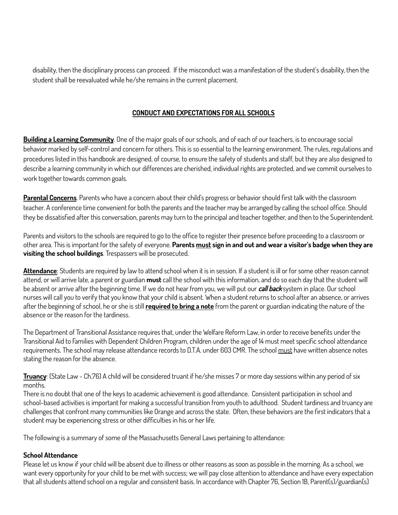disability, then the disciplinary process can proceed. If the misconduct was a manifestation of the student's disability, then the student shall be reevaluated while he/she remains in the current placement.

## **CONDUCT AND EXPECTATIONS FOR ALL SCHOOLS**

**Building a Learning Community**. One of the major goals of our schools, and of each of our teachers, is to encourage social behavior marked by self-control and concern for others. This is so essential to the learning environment. The rules, regulations and procedures listed in this handbook are designed, of course, to ensure the safety of students and staff, but they are also designed to describe a learning community in which our differences are cherished, individual rights are protected, and we commit ourselves to work together towards common goals.

**Parental Concerns**. Parents who have a concern about their child's progress or behavior should first talk with the classroom teacher. A conference time convenient for both the parents and the teacher may be arranged by calling the school office. Should they be dissatisfied after this conversation, parents may turn to the principal and teacher together, and then to the Superintendent.

Parents and visitors to the schools are required to go to the office to register their presence before proceeding to a classroom or other area. This is important for the safety of everyone. Parents must sign in and out and wear a visitor's badge when they are **visiting the school buildings**. Trespassers will be prosecuted.

**Attendance**: Students are required by law to attend school when it is in session. If a student is ill or for some other reason cannot attend, or will arrive late, a parent or guardian **must** call the school with this information, and do so each day that the student will be absent or arrive after the beginning time. If we do not hear from you, we will put our *call back* system in place. Our school nurses will call you to verify that you know that your child is absent. When a student returns to school after an absence, or arrives after the beginning of school, he or she is still **required to bring a note** from the parent or guardian indicating the nature of the absence or the reason for the tardiness.

The Department of Transitional Assistance requires that, under the Welfare Reform Law, in order to receive benefits under the Transitional Aid to Families with Dependent Children Program, children under the age of 14 must meet specific school attendance requirements. The school may release attendance records to D.T.A. under 603 CMR. The school must have written absence notes stating the reason for the absence.

**Truancy**: (State Law - Ch.76) A child will be considered truant if he/she misses 7 or more day sessions within any period of six months.

There is no doubt that one of the keys to academic achievement is good attendance. Consistent participation in school and school-based activities is important for making a successful transition from youth to adulthood. Student tardiness and truancy are challenges that confront many communities like Orange and across the state. Often, these behaviors are the first indicators that a student may be experiencing stress or other difficulties in his or her life.

The following is a summary of some of the Massachusetts General Laws pertaining to attendance:

## **School Attendance**

Please let us know if your child will be absent due to illness or other reasons as soon as possible in the morning. As a school, we want every opportunity for your child to be met with success; we will pay close attention to attendance and have every expectation that all students attend school on a regular and consistent basis. In accordance with Chapter 76, Section 1B, Parent(s)/guardian(s)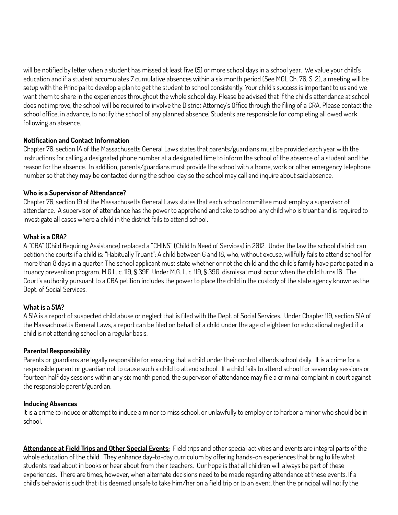will be notified by letter when a student has missed at least five (5) or more school days in a school year. We value your child's education and if a student accumulates 7 cumulative absences within a six month period (See MGL Ch. 76, S. 2), a meeting will be setup with the Principal to develop a plan to get the student to school consistently. Your child's success is important to us and we want them to share in the experiences throughout the whole school day. Please be advised that if the child's attendance at school does not improve, the school will be required to involve the District Attorney's Office through the filing of a CRA. Please contact the school office, in advance, to notify the school of any planned absence. Students are responsible for completing all owed work following an absence.

#### **Notification and Contact Information**

Chapter 76, section 1A of the Massachusetts General Laws states that parents/guardians must be provided each year with the instructions for calling a designated phone number at a designated time to inform the school of the absence of a student and the reason for the absence. In addition, parents/guardians must provide the school with a home, work or other emergency telephone number so that they may be contacted during the school day so the school may call and inquire about said absence.

#### **Who is a Supervisor of Attendance?**

Chapter 76, section 19 of the Massachusetts General Laws states that each school committee must employ a supervisor of attendance. A supervisor of attendance has the power to apprehend and take to school any child who is truant and is required to investigate all cases where a child in the district fails to attend school.

## **What is a CRA?**

A "CRA" (Child Requiring Assistance) replaced a "CHINS" (Child In Need of Services) in 2012. Under the law the school district can petition the courts if a child is: "Habitually Truant": A child between 6 and 18, who, without excuse, willfully fails to attend school for more than 8 days in a quarter. The school applicant must state whether or not the child and the child's family have participated in a truancy prevention program. M.G.L. c. 119, § 39E. Under M.G. L. c. 119, § 39G, dismissal must occur when the child turns 16. The Court's authority pursuant to a CRA petition includes the power to place the child in the custody of the state agency known as the Dept. of Social Services.

## **What is a 51A?**

A 51A is a report of suspected child abuse or neglect that is filed with the Dept. of Social Services. Under Chapter 119, section 51A of the Massachusetts General Laws, a report can be filed on behalf of a child under the age of eighteen for educational neglect if a child is not attending school on a regular basis.

#### **Parental Responsibility**

Parents or guardians are legally responsible for ensuring that a child under their control attends school daily. It is a crime for a responsible parent or guardian not to cause such a child to attend school. If a child fails to attend school for seven day sessions or fourteen half day sessions within any six month period, the supervisor of attendance may file a criminal complaint in court against the responsible parent/guardian.

#### **Inducing Absences**

It is a crime to induce or attempt to induce a minor to miss school, or unlawfully to employ or to harbor a minor who should be in school.

**Attendance at Field Trips and Other Special Events:** Field trips and other special activities and events are integral parts of the whole education of the child. They enhance day-to-day curriculum by offering hands-on experiences that bring to life what students read about in books or hear about from their teachers. Our hope is that all children will always be part of these experiences. There are times, however, when alternate decisions need to be made regarding attendance at these events. If a child's behavior is such that it is deemed unsafe to take him/her on a field trip or to an event, then the principal will notify the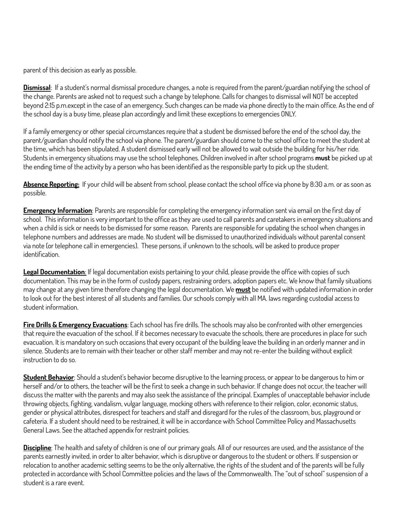parent of this decision as early as possible.

**Dismissal**: If a student's normal dismissal procedure changes, a note is required from the parent/guardian notifying the school of the change. Parents are asked not to request such a change by telephone. Calls for changes to dismissal will NOT be accepted beyond 2:15 p.m.except in the case of an emergency. Such changes can be made via phone directly to the main office. As the end of the school day is a busy time, please plan accordingly and limit these exceptions to emergencies ONLY.

If a family emergency or other special circumstances require that a student be dismissed before the end of the school day, the parent/guardian should notify the school via phone. The parent/guardian should come to the school office to meet the student at the time, which has been stipulated. A student dismissed early will not be allowed to wait outside the building for his/her ride. Students in emergency situations may use the school telephones. Children involved in after school programs **must** be picked up at the ending time of the activity by a person who has been identified as the responsible party to pick up the student.

**Absence Reporting:** If your child will be absent from school, please contact the school office via phone by 8:30 a.m. or as soon as possible.

**Emergency Information**: Parents are responsible for completing the emergency information sent via email on the first day of school. This information is very important to the office as they are used to call parents and caretakers in emergency situations and when a child is sick or needs to be dismissed for some reason. Parents are responsible for updating the school when changes in telephone numbers and addresses are made. No student will be dismissed to unauthorized individuals without parental consent via note (or telephone call in emergencies). These persons, if unknown to the schools, will be asked to produce proper identification.

**Legal Documentation**: If legal documentation exists pertaining to your child, please provide the office with copies of such documentation. This may be in the form of custody papers, restraining orders, adoption papers etc. We know that family situations may change at any given time therefore changing the legal documentation. We **must** be notified with updated information in order to look out for the best interest of all students and families. Our schools comply with all MA. laws regarding custodial access to student information.

**Fire Drills & Emergency Evacuations**: Each school has fire drills. The schools may also be confronted with other emergencies that require the evacuation of the school. If it becomes necessary to evacuate the schools, there are procedures in place for such evacuation. It is mandatory on such occasions that every occupant of the building leave the building in an orderly manner and in silence. Students are to remain with their teacher or other staff member and may not re-enter the building without explicit instruction to do so.

**Student Behavior**: Should a student's behavior become disruptive to the learning process, or appear to be dangerous to him or herself and/or to others, the teacher will be the first to seek a change in such behavior. If change does not occur, the teacher will discuss the matter with the parents and may also seek the assistance of the principal. Examples of unacceptable behavior include throwing objects, fighting, vandalism, vulgar language, mocking others with reference to their religion, color, economic status, gender or physical attributes, disrespect for teachers and staff and disregard for the rules of the classroom, bus, playground or cafeteria. If a student should need to be restrained, it will be in accordance with School Committee Policy and Massachusetts General Laws. See the attached appendix for restraint policies.

**Discipline**: The health and safety of children is one of our primary goals. All of our resources are used, and the assistance of the parents earnestly invited, in order to alter behavior, which is disruptive or dangerous to the student or others. If suspension or relocation to another academic setting seems to be the only alternative, the rights of the student and of the parents will be fully protected in accordance with School Committee policies and the laws of the Commonwealth. The "out of school" suspension of a student is a rare event.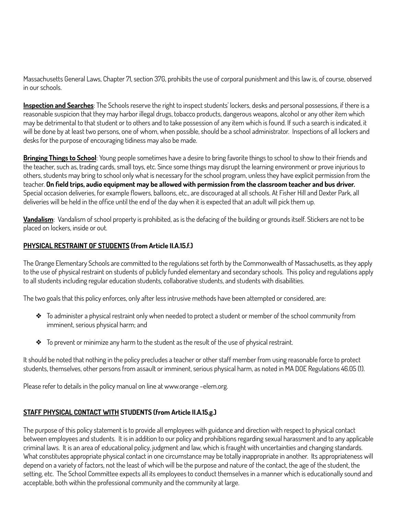Massachusetts General Laws, Chapter 71, section 37G, prohibits the use of corporal punishment and this law is, of course, observed in our schools.

**Inspection and Searches**: The Schools reserve the right to inspect students' lockers, desks and personal possessions, if there is a reasonable suspicion that they may harbor illegal drugs, tobacco products, dangerous weapons, alcohol or any other item which may be detrimental to that student or to others and to take possession of any item which is found. If such a search is indicated, it will be done by at least two persons, one of whom, when possible, should be a school administrator. Inspections of all lockers and desks for the purpose of encouraging tidiness may also be made.

**Bringing Things to School**: Young people sometimes have a desire to bring favorite things to school to show to their friends and the teacher, such as, trading cards, small toys, etc. Since some things may disrupt the learning environment or prove injurious to others, students may bring to school only what is necessary for the school program, unless they have explicit permission from the teacher. On field trips, audio equipment may be allowed with permission from the classroom teacher and bus driver. Special occasion deliveries, for example flowers, balloons, etc., are discouraged at all schools. At Fisher Hill and Dexter Park, all deliveries will be held in the office until the end of the day when it is expected that an adult will pick them up.

**Vandalism**: Vandalism of school property is prohibited, as is the defacing of the building or grounds itself. Stickers are not to be placed on lockers, inside or out.

## **PHYSICAL RESTRAINT OF STUDENTS (from Article II.A.15.f.)**

The Orange Elementary Schools are committed to the regulations set forth by the Commonwealth of Massachusetts, as they apply to the use of physical restraint on students of publicly funded elementary and secondary schools. This policy and regulations apply to all students including regular education students, collaborative students, and students with disabilities.

The two goals that this policy enforces, only after less intrusive methods have been attempted or considered, are:

- ❖ To administer a physical restraint only when needed to protect a student or member of the school community from imminent, serious physical harm; and
- ❖ To prevent or minimize any harm to the student as the result of the use of physical restraint.

It should be noted that nothing in the policy precludes a teacher or other staff member from using reasonable force to protect students, themselves, other persons from assault or imminent, serious physical harm, as noted in MA DOE Regulations 46.05 (1).

Please refer to details in the policy manual on line at www.orange –elem.org.

## **STAFF PHYSICAL CONTACT WITH STUDENTS (from Article II.A.15.g.)**

The purpose of this policy statement is to provide all employees with guidance and direction with respect to physical contact between employees and students. It is in addition to our policy and prohibitions regarding sexual harassment and to any applicable criminal laws. It is an area of educational policy, judgment and law, which is fraught with uncertainties and changing standards. What constitutes appropriate physical contact in one circumstance may be totally inappropriate in another. Its appropriateness will depend on a variety of factors, not the least of which will be the purpose and nature of the contact, the age of the student, the setting, etc. The School Committee expects all its employees to conduct themselves in a manner which is educationally sound and acceptable, both within the professional community and the community at large.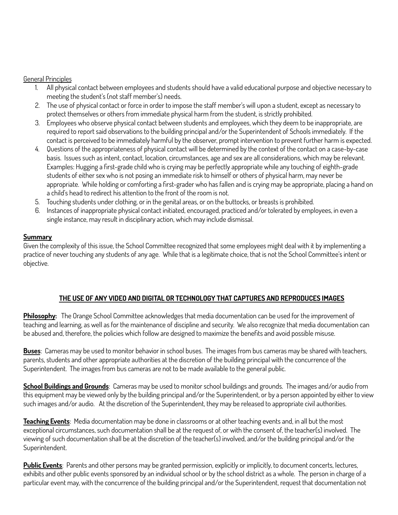#### General Principles

- 1. All physical contact between employees and students should have a valid educational purpose and objective necessary to meeting the student's (not staff member's) needs.
- 2. The use of physical contact or force in order to impose the staff member's will upon a student, except as necessary to protect themselves or others from immediate physical harm from the student, is strictly prohibited.
- 3. Employees who observe physical contact between students and employees, which they deem to be inappropriate, are required to report said observations to the building principal and/or the Superintendent of Schools immediately. If the contact is perceived to be immediately harmful by the observer, prompt intervention to prevent further harm is expected.
- 4. Questions of the appropriateness of physical contact will be determined by the context of the contact on a case-by-case basis. Issues such as intent, contact, location, circumstances, age and sex are all considerations, which may be relevant. Examples: Hugging a first-grade child who is crying may be perfectly appropriate while any touching of eighth-grade students of either sex who is not posing an immediate risk to himself or others of physical harm, may never be appropriate. While holding or comforting a first-grader who has fallen and is crying may be appropriate, placing a hand on a child's head to redirect his attention to the front of the room is not.
- 5. Touching students under clothing, or in the genital areas, or on the buttocks, or breasts is prohibited.
- 6. Instances of inappropriate physical contact initiated, encouraged, practiced and/or tolerated by employees, in even a single instance, may result in disciplinary action, which may include dismissal.

#### **Summary**

Given the complexity of this issue, the School Committee recognized that some employees might deal with it by implementing a practice of never touching any students of any age. While that is a legitimate choice, that is not the School Committee's intent or objective.

#### **THE USE OF ANY VIDEO AND DIGITAL OR TECHNOLOGY THAT CAPTURES AND REPRODUCES IMAGES**

**Philosophy:** The Orange School Committee acknowledges that media documentation can be used for the improvement of teaching and learning, as well as for the maintenance of discipline and security. We also recognize that media documentation can be abused and, therefore, the policies which follow are designed to maximize the benefits and avoid possible misuse.

**Buses**: Cameras may be used to monitor behavior in school buses. The images from bus cameras may be shared with teachers, parents, students and other appropriate authorities at the discretion of the building principal with the concurrence of the Superintendent. The images from bus cameras are not to be made available to the general public.

**School Buildings and Grounds**: Cameras may be used to monitor school buildings and grounds. The images and/or audio from this equipment may be viewed only by the building principal and/or the Superintendent, or by a person appointed by either to view such images and/or audio. At the discretion of the Superintendent, they may be released to appropriate civil authorities.

**Teaching Events**: Media documentation may be done in classrooms or at other teaching events and, in all but the most exceptional circumstances, such documentation shall be at the request of, or with the consent of, the teacher(s) involved. The viewing of such documentation shall be at the discretion of the teacher(s) involved, and/or the building principal and/or the Superintendent.

**Public Events**: Parents and other persons may be granted permission, explicitly or implicitly, to document concerts, lectures, exhibits and other public events sponsored by an individual school or by the school district as a whole. The person in charge of a particular event may, with the concurrence of the building principal and/or the Superintendent, request that documentation not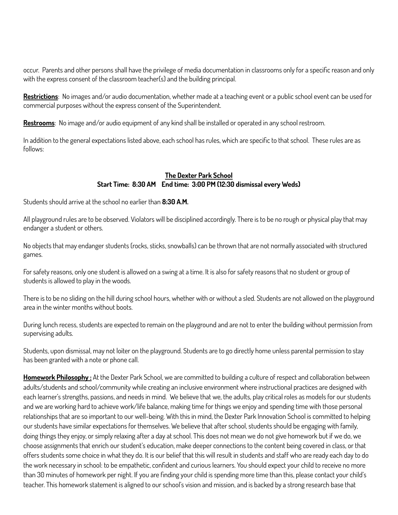occur. Parents and other persons shall have the privilege of media documentation in classrooms only for a specific reason and only with the express consent of the classroom teacher(s) and the building principal.

**Restrictions**: No images and/or audio documentation, whether made at a teaching event or a public school event can be used for commercial purposes without the express consent of the Superintendent.

**Restrooms**: No image and/or audio equipment of any kind shall be installed or operated in any school restroom.

In addition to the general expectations listed above, each school has rules, which are specific to that school. These rules are as follows:

#### **The Dexter Park School Start Time: 8:30 AM End time: 3:00 PM (12:30 dismissal every Weds)**

Students should arrive at the school no earlier than **8:30 A.M.**

All playground rules are to be observed. Violators will be disciplined accordingly. There is to be no rough or physical play that may endanger a student or others.

No objects that may endanger students (rocks, sticks, snowballs) can be thrown that are not normally associated with structured games.

For safety reasons, only one student is allowed on a swing at a time. It is also for safety reasons that no student or group of students is allowed to play in the woods.

There is to be no sliding on the hill during school hours, whether with or without a sled. Students are not allowed on the playground area in the winter months without boots.

During lunch recess, students are expected to remain on the playground and are not to enter the building without permission from supervising adults.

Students, upon dismissal, may not loiter on the playground. Students are to go directly home unless parental permission to stay has been granted with a note or phone call.

**Homework Philosophy :** At the Dexter Park School, we are committed to building a culture of respect and collaboration between adults/students and school/community while creating an inclusive environment where instructional practices are designed with each learner's strengths, passions, and needs in mind. We believe that we, the adults, play critical roles as models for our students and we are working hard to achieve work/life balance, making time for things we enjoy and spending time with those personal relationships that are so important to our well-being. With this in mind, the Dexter Park Innovation School is committed to helping our students have similar expectations for themselves. We believe that after school, students should be engaging with family, doing things they enjoy, or simply relaxing after a day at school. This does not mean we do not give homework but if we do, we choose assignments that enrich our student's education, make deeper connections to the content being covered in class, or that offers students some choice in what they do. It is our belief that this will result in students and staff who are ready each day to do the work necessary in school: to be empathetic, confident and curious learners. You should expect your child to receive no more than 30 minutes of homework per night. If you are finding your child is spending more time than this, please contact your child's teacher. This homework statement is aligned to our school's vision and mission, and is backed by a strong research base that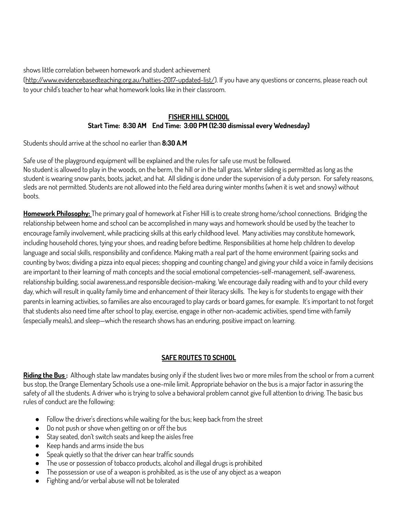shows little correlation between homework and student achievement

[\(http://www.evidencebasedteaching.org.au/hatties-2017-updated-list/](http://www.evidencebasedteaching.org.au/hatties-2017-updated-list/)). If you have any questions or concerns, please reach out to your child's teacher to hear what homework looks like in their classroom.

#### **FISHER HILL SCHOOL Start Time: 8:30 AM End Time: 3:00 PM (12:30 dismissal every Wednesday)**

Students should arrive at the school no earlier than **8:30 A.M**

Safe use of the playground equipment will be explained and the rules for safe use must be followed. No student is allowed to play in the woods, on the berm, the hill or in the tall grass. Winter sliding is permitted as long as the student is wearing snow pants, boots, jacket, and hat. All sliding is done under the supervision of a duty person. For safety reasons, sleds are not permitted. Students are not allowed into the field area during winter months (when it is wet and snowy) without boots.

**Homework Philosophy:** The primary goal of homework at Fisher Hill is to create strong home/school connections. Bridging the relationship between home and school can be accomplished in many ways and homework should be used by the teacher to encourage family involvement, while practicing skills at this early childhood level. Many activities may constitute homework, including household chores, tying your shoes, and reading before bedtime. Responsibilities at home help children to develop language and social skills, responsibility and confidence. Making math a real part of the home environment (pairing socks and counting by twos; dividing a pizza into equal pieces; shopping and counting change) and giving your child a voice in family decisions are important to their learning of math concepts and the social emotional competencies-self-management, self-awareness, relationship building, social awareness,and responsible decision-making. We encourage daily reading with and to your child every day, which will result in quality family time and enhancement of their literacy skills. The key is for students to engage with their parents in learning activities, so families are also encouraged to play cards or board games, for example. It's important to not forget that students also need time after school to play, exercise, engage in other non-academic activities, spend time with family (especially meals), and sleep—which the research shows has an enduring, positive impact on learning.

## **SAFE ROUTES TO SCHOOL**

**Riding the Bus :** Although state law mandates busing only if the student lives two or more miles from the school or from a current bus stop, the Orange Elementary Schools use a one-mile limit. Appropriate behavior on the bus is a major factor in assuring the safety of all the students. A driver who is trying to solve a behavioral problem cannot give full attention to driving. The basic bus rules of conduct are the following:

- Follow the driver's directions while waiting for the bus; keep back from the street
- Do not push or shove when getting on or off the bus
- Stay seated, don't switch seats and keep the aisles free
- Keep hands and arms inside the bus
- Speak quietly so that the driver can hear traffic sounds
- The use or possession of tobacco products, alcohol and illegal drugs is prohibited
- The possession or use of a weapon is prohibited, as is the use of any object as a weapon
- Fighting and/or verbal abuse will not be tolerated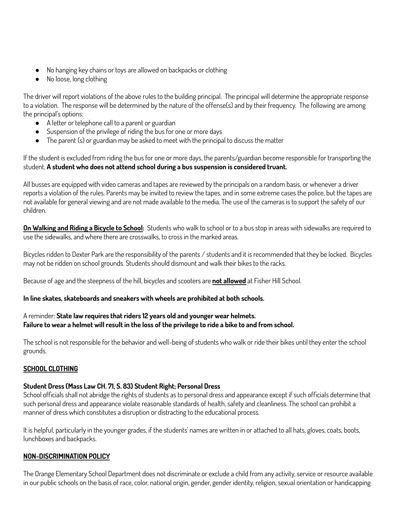- No hanging key chains or toys are allowed on backpacks or clothing
- No loose, long clothing

The driver will report violations of the above rules to the building principal. The principal will determine the appropriate response to a violation. The response will be determined by the nature of the offense(s) and by their frequency. The following are among the principal's options:

- A letter or telephone call to a parent or guardian
- Suspension of the privilege of riding the bus for one or more days
- The parent (s) or guardian may be asked to meet with the principal to discuss the matter

If the student is excluded from riding the bus for one or more days, the parents/guardian become responsible for transporting the student. **A student who does not attend school during a bus suspension is considered truant.**

All busses are equipped with video cameras and tapes are reviewed by the principals on a random basis, or whenever a driver reports a violation of the rules. Parents may be invited to review the tapes, and in some extreme cases the police, but the tapes are not available for general viewing and are not made available to the media. The use of the cameras is to support the safety of our children.

**On Walking and Riding a Bicycle to School:** Students who walk to school or to a bus stop in areas with sidewalks are required to use the sidewalks, and where there are crosswalks, to cross in the marked areas.

Bicycles ridden to Dexter Park are the responsibility of the parents / students and it is recommended that they be locked. Bicycles may not be ridden on school grounds. Students should dismount and walk their bikes to the racks.

Because of age and the steepness of the hill, bicycles and scooters are **not allowed** at Fisher Hill School.

#### **In line skates, skateboards and sneakers with wheels are prohibited at both schools.**

#### A reminder: **State law requires that riders 12 years old and younger wear helmets.** Failure to wear a helmet will result in the loss of the privilege to ride a bike to and from school.

The school is not responsible for the behavior and well-being of students who walk or ride their bikes until they enter the school grounds.

## **SCHOOL CLOTHING**

#### **Student Dress (Mass Law CH. 71, S. 83) Student Right; Personal Dress**

School officials shall not abridge the rights of students as to personal dress and appearance except if such officials determine that such personal dress and appearance violate reasonable standards of health, safety and cleanliness. The school can prohibit a manner of dress which constitutes a disruption or distracting to the educational process.

It is helpful, particularly in the younger grades, if the students' names are written in or attached to all hats, gloves, coats, boots, lunchboxes and backpacks.

#### **NON-DISCRIMINATION POLICY**

The Orange Elementary School Department does not discriminate or exclude a child from any activity, service or resource available in our public schools on the basis of race, color, national origin, gender, gender identity, religion, sexual orientation or handicapping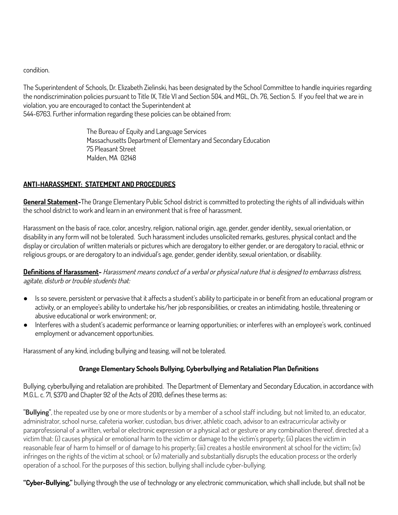condition.

The Superintendent of Schools, Dr. Elizabeth Zielinski, has been designated by the School Committee to handle inquiries regarding the nondiscrimination policies pursuant to Title IX, Title VI and Section 504, and MGL, Ch. 76, Section 5. If you feel that we are in violation, you are encouraged to contact the Superintendent at 544-6763. Further information regarding these policies can be obtained from:

> The Bureau of Equity and Language Services Massachusetts Department of Elementary and Secondary Education 75 Pleasant Street Malden, MA 02148

#### **ANTI-HARASSMENT: STATEMENT AND PROCEDURES**

**General Statement-**The Orange Elementary Public School district is committed to protecting the rights of all individuals within the school district to work and learn in an environment that is free of harassment.

Harassment on the basis of race, color, ancestry, religion, national origin, age, gender, gender identity,, sexual orientation, or disability in any form will not be tolerated. Such harassment includes unsolicited remarks, gestures, physical contact and the display or circulation of written materials or pictures which are derogatory to either gender, or are derogatory to racial, ethnic or religious groups, or are derogatory to an individual's age, gender, gender identity, sexual orientation, or disability.

**Definitions of Harassment-** Harassment means conduct of <sup>a</sup> verbal or physical nature that is designed to embarrass distress, agitate, disturb or trouble students that:

- Is so severe, persistent or pervasive that it affects a student's ability to participate in or benefit from an educational program or activity, or an employee's ability to undertake his/her job responsibilities, or creates an intimidating, hostile, threatening or abusive educational or work environment; or,
- Interferes with a student's academic performance or learning opportunities; or interferes with an employee's work, continued employment or advancement opportunities.

Harassment of any kind, including bullying and teasing, will not be tolerated.

## **Orange Elementary Schools Bullying, Cyberbullying and Retaliation Plan Definitions**

Bullying, cyberbullying and retaliation are prohibited. The Department of Elementary and Secondary Education, in accordance with M.G.L. c. 71, §370 and Chapter 92 of the Acts of 2010, defines these terms as:

**''Bullying''**, the repeated use by one or more students or by a member of a school staff including, but not limited to, an educator, administrator, school nurse, cafeteria worker, custodian, bus driver, athletic coach, advisor to an extracurricular activity or paraprofessional of a written, verbal or electronic expression or a physical act or gesture or any combination thereof, directed at a victim that: (i) causes physical or emotional harm to the victim or damage to the victim's property; (ii) places the victim in reasonable fear of harm to himself or of damage to his property; (iii) creates a hostile environment at school for the victim; (iv) infringes on the rights of the victim at school; or (v) materially and substantially disrupts the education process or the orderly operation of a school. For the purposes of this section, bullying shall include cyber-bullying.

**"Cyber-Bullying,"** bullying through the use of technology or any electronic communication, which shall include, but shall not be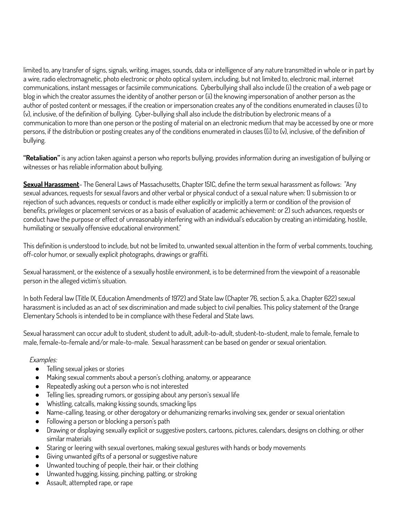limited to, any transfer of signs, signals, writing, images, sounds, data or intelligence of any nature transmitted in whole or in part by a wire, radio electromagnetic, photo electronic or photo optical system, including, but not limited to, electronic mail, internet communications, instant messages or facsimile communications. Cyberbullying shall also include (i) the creation of a web page or blog in which the creator assumes the identity of another person or (ii) the knowing impersonation of another person as the author of posted content or messages, if the creation or impersonation creates any of the conditions enumerated in clauses (i) to (v), inclusive, of the definition of bullying. Cyber-bullying shall also include the distribution by electronic means of a communication to more than one person or the posting of material on an electronic medium that may be accessed by one or more persons, if the distribution or posting creates any of the conditions enumerated in clauses ((i) to (v), inclusive, of the definition of bullying.

**"Retaliation"** is any action taken against a person who reports bullying, provides information during an investigation of bullying or witnesses or has reliable information about bullying.

**Sexual Harassment**- The General Laws of Massachusetts, Chapter 151C, define the term sexual harassment as follows: "Any sexual advances, requests for sexual favors and other verbal or physical conduct of a sexual nature when: 1) submission to or rejection of such advances, requests or conduct is made either explicitly or implicitly a term or condition of the provision of benefits, privileges or placement services or as a basis of evaluation of academic achievement: or 2) such advances, requests or conduct have the purpose or effect of unreasonably interfering with an individual's education by creating an intimidating, hostile, humiliating or sexually offensive educational environment."

This definition is understood to include, but not be limited to, unwanted sexual attention in the form of verbal comments, touching, off-color humor, or sexually explicit photographs, drawings or graffiti.

Sexual harassment, or the existence of a sexually hostile environment, is to be determined from the viewpoint of a reasonable person in the alleged victim's situation.

In both Federal law (Title IX, Education Amendments of 1972) and State law (Chapter 76, section 5, a.k.a. Chapter 622) sexual harassment is included as an act of sex discrimination and made subject to civil penalties. This policy statement of the Orange Elementary Schools is intended to be in compliance with these Federal and State laws.

Sexual harassment can occur adult to student, student to adult, adult-to-adult, student-to-student, male to female, female to male, female-to-female and/or male-to-male. Sexual harassment can be based on gender or sexual orientation.

#### Examples:

- Telling sexual jokes or stories
- Making sexual comments about a person's clothing, anatomy, or appearance
- Repeatedly asking out a person who is not interested
- Telling lies, spreading rumors, or gossiping about any person's sexual life
- Whistling, catcalls, making kissing sounds, smacking lips
- Name-calling, teasing, or other derogatory or dehumanizing remarks involving sex, gender or sexual orientation
- Following a person or blocking a person's path
- Drawing or displaying sexually explicit or suggestive posters, cartoons, pictures, calendars, designs on clothing, or other similar materials
- Staring or leering with sexual overtones, making sexual gestures with hands or body movements
- Giving unwanted gifts of a personal or suggestive nature
- Unwanted touching of people, their hair, or their clothing
- Unwanted hugging, kissing, pinching, patting, or stroking
- Assault, attempted rape, or rape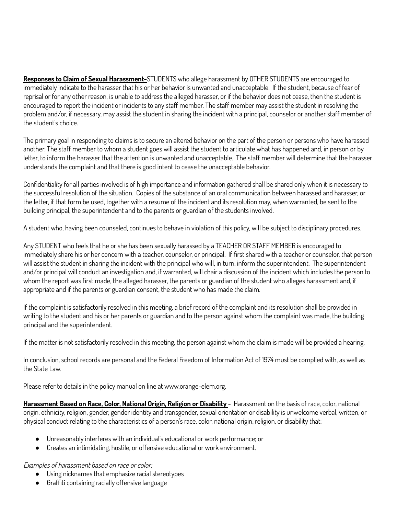**Responses to Claim of Sexual Harassment-**STUDENTS who allege harassment by OTHER STUDENTS are encouraged to immediately indicate to the harasser that his or her behavior is unwanted and unacceptable. If the student, because of fear of reprisal or for any other reason, is unable to address the alleged harasser, or if the behavior does not cease, then the student is encouraged to report the incident or incidents to any staff member. The staff member may assist the student in resolving the problem and/or, if necessary, may assist the student in sharing the incident with a principal, counselor or another staff member of the student's choice.

The primary goal in responding to claims is to secure an altered behavior on the part of the person or persons who have harassed another. The staff member to whom a student goes will assist the student to articulate what has happened and, in person or by letter, to inform the harasser that the attention is unwanted and unacceptable. The staff member will determine that the harasser understands the complaint and that there is good intent to cease the unacceptable behavior.

Confidentiality for all parties involved is of high importance and information gathered shall be shared only when it is necessary to the successful resolution of the situation. Copies of the substance of an oral communication between harassed and harasser, or the letter, if that form be used, together with a resume of the incident and its resolution may, when warranted, be sent to the building principal, the superintendent and to the parents or guardian of the students involved.

A student who, having been counseled, continues to behave in violation of this policy, will be subject to disciplinary procedures.

Any STUDENT who feels that he or she has been sexually harassed by a TEACHER OR STAFF MEMBER is encouraged to immediately share his or her concern with a teacher, counselor, or principal. If first shared with a teacher or counselor, that person will assist the student in sharing the incident with the principal who will, in turn, inform the superintendent. The superintendent and/or principal will conduct an investigation and, if warranted, will chair a discussion of the incident which includes the person to whom the report was first made, the alleged harasser, the parents or guardian of the student who alleges harassment and, if appropriate and if the parents or guardian consent, the student who has made the claim.

If the complaint is satisfactorily resolved in this meeting, a brief record of the complaint and its resolution shall be provided in writing to the student and his or her parents or guardian and to the person against whom the complaint was made, the building principal and the superintendent.

If the matter is not satisfactorily resolved in this meeting, the person against whom the claim is made will be provided a hearing.

In conclusion, school records are personal and the Federal Freedom of Information Act of 1974 must be complied with, as well as the State Law.

Please refer to details in the policy manual on line at www.orange-elem.org.

**Harassment Based on Race, Color, National Origin, Religion or Disability** - Harassment on the basis of race, color, national origin, ethnicity, religion, gender, gender identity and transgender, sexual orientation or disability is unwelcome verbal, written, or physical conduct relating to the characteristics of a person's race, color, national origin, religion, or disability that:

- Unreasonably interferes with an individual's educational or work performance; or
- Creates an intimidating, hostile, or offensive educational or work environment.

Examples of harassment based on race or color:

- Using nicknames that emphasize racial stereotypes
- Graffiti containing racially offensive language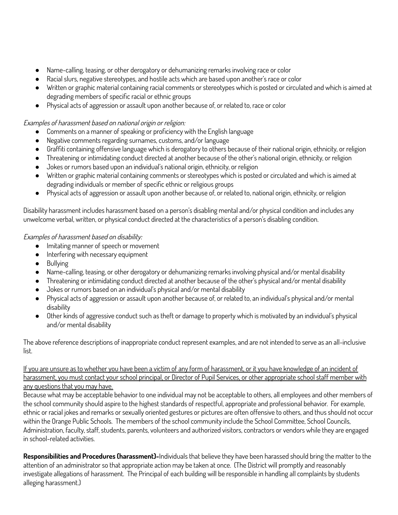- Name-calling, teasing, or other derogatory or dehumanizing remarks involving race or color
- Racial slurs, negative stereotypes, and hostile acts which are based upon another's race or color
- Written or graphic material containing racial comments or stereotypes which is posted or circulated and which is aimed at degrading members of specific racial or ethnic groups
- Physical acts of aggression or assault upon another because of, or related to, race or color

## Examples of harassment based on national origin or religion:

- Comments on a manner of speaking or proficiency with the English language
- Negative comments regarding surnames, customs, and/or language
- Graffiti containing offensive language which is derogatory to others because of their national origin, ethnicity, or religion
- Threatening or intimidating conduct directed at another because of the other's national origin, ethnicity, or religion
- Jokes or rumors based upon an individual's national origin, ethnicity, or religion
- Written or graphic material containing comments or stereotypes which is posted or circulated and which is aimed at degrading individuals or member of specific ethnic or religious groups
- Physical acts of aggression or assault upon another because of, or related to, national origin, ethnicity, or religion

Disability harassment includes harassment based on a person's disabling mental and/or physical condition and includes any unwelcome verbal, written, or physical conduct directed at the characteristics of a person's disabling condition.

## Examples of harassment based on disability:

- Imitating manner of speech or movement
- Interfering with necessary equipment
- Bullying
- Name-calling, teasing, or other derogatory or dehumanizing remarks involving physical and/or mental disability
- Threatening or intimidating conduct directed at another because of the other's physical and/or mental disability
- Jokes or rumors based on an individual's physical and/or mental disability
- Physical acts of aggression or assault upon another because of, or related to, an individual's physical and/or mental disability
- Other kinds of aggressive conduct such as theft or damage to property which is motivated by an individual's physical and/or mental disability

The above reference descriptions of inappropriate conduct represent examples, and are not intended to serve as an all-inclusive list.

## If you are unsure as to whether you have been a victim of any form of harassment, or it you have knowledge of an incident of harassment, you must contact your school principal, or Director of Pupil Services, or other appropriate school staff member with any questions that you may have.

Because what may be acceptable behavior to one individual may not be acceptable to others, all employees and other members of the school community should aspire to the highest standards of respectful, appropriate and professional behavior. For example, ethnic or racial jokes and remarks or sexually oriented gestures or pictures are often offensive to others, and thus should not occur within the Orange Public Schools. The members of the school community include the School Committee, School Councils, Administration, faculty, staff, students, parents, volunteers and authorized visitors, contractors or vendors while they are engaged in school-related activities.

**Responsibilities and Procedures (harassment)-**Individuals that believe they have been harassed should bring the matter to the attention of an administrator so that appropriate action may be taken at once. (The District will promptly and reasonably investigate allegations of harassment. The Principal of each building will be responsible in handling all complaints by students alleging harassment.)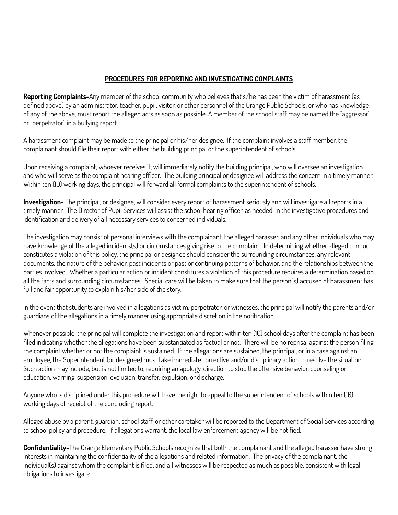### **PROCEDURES FOR REPORTING AND INVESTIGATING COMPLAINTS**

**Reporting Complaints-**Any member of the school community who believes that s/he has been the victim of harassment (as defined above) by an administrator, teacher, pupil, visitor, or other personnel of the Orange Public Schools, or who has knowledge of any of the above, must report the alleged acts as soon as possible. A member of the school staff may be named the "aggressor" or "perpetrator" in a bullying report.

A harassment complaint may be made to the principal or his/her designee. If the complaint involves a staff member, the complainant should file their report with either the building principal or the superintendent of schools.

Upon receiving a complaint, whoever receives it, will immediately notify the building principal, who will oversee an investigation and who will serve as the complaint hearing officer. The building principal or designee will address the concern in a timely manner. Within ten (10) working days, the principal will forward all formal complaints to the superintendent of schools.

**Investigation-** The principal, or designee, will consider every report of harassment seriously and will investigate all reports in a timely manner. The Director of Pupil Services will assist the school hearing officer, as needed, in the investigative procedures and identification and delivery of all necessary services to concerned individuals.

The investigation may consist of personal interviews with the complainant, the alleged harasser, and any other individuals who may have knowledge of the alleged incidents(s) or circumstances giving rise to the complaint. In determining whether alleged conduct constitutes a violation of this policy, the principal or designee should consider the surrounding circumstances, any relevant documents, the nature of the behavior, past incidents or past or continuing patterns of behavior, and the relationships between the parties involved. Whether a particular action or incident constitutes a violation of this procedure requires a determination based on all the facts and surrounding circumstances. Special care will be taken to make sure that the person(s) accused of harassment has full and fair opportunity to explain his/her side of the story.

In the event that students are involved in allegations as victim, perpetrator, or witnesses, the principal will notify the parents and/or guardians of the allegations in a timely manner using appropriate discretion in the notification.

Whenever possible, the principal will complete the investigation and report within ten (10) school days after the complaint has been filed indicating whether the allegations have been substantiated as factual or not. There will be no reprisal against the person filing the complaint whether or not the complaint is sustained. If the allegations are sustained, the principal, or in a case against an employee, the Superintendent (or designee) must take immediate corrective and/or disciplinary action to resolve the situation. Such action may include, but is not limited to, requiring an apology, direction to stop the offensive behavior, counseling or education, warning, suspension, exclusion, transfer, expulsion, or discharge.

Anyone who is disciplined under this procedure will have the right to appeal to the superintendent of schools within ten (10) working days of receipt of the concluding report.

Alleged abuse by a parent, guardian, school staff, or other caretaker will be reported to the Department of Social Services according to school policy and procedure. If allegations warrant, the local law enforcement agency will be notified.

**Confidentiality-**The Orange Elementary Public Schools recognize that both the complainant and the alleged harasser have strong interests in maintaining the confidentiality of the allegations and related information. The privacy of the complainant, the individual(s) against whom the complaint is filed, and all witnesses will be respected as much as possible, consistent with legal obligations to investigate.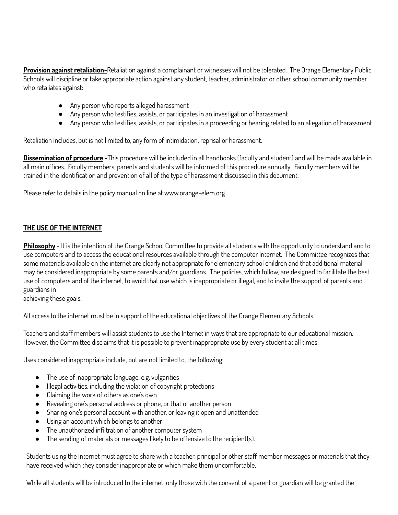**Provision against retaliation-**Retaliation against a complainant or witnesses will not be tolerated. The Orange Elementary Public Schools will discipline or take appropriate action against any student, teacher, administrator or other school community member who retaliates against:

- Any person who reports alleged harassment
- Any person who testifies, assists, or participates in an investigation of harassment
- Any person who testifies, assists, or participates in a proceeding or hearing related to an allegation of harassment

Retaliation includes, but is not limited to, any form of intimidation, reprisal or harassment.

**Dissemination of procedure -**This procedure will be included in all handbooks (faculty and student) and will be made available in all main offices. Faculty members, parents and students will be informed of this procedure annually. Faculty members will be trained in the identification and prevention of all of the type of harassment discussed in this document.

Please refer to details in the policy manual on line at www.orange-elem.org

#### **THE USE OF THE INTERNET**

**Philosophy** - It is the intention of the Orange School Committee to provide all students with the opportunity to understand and to use computers and to access the educational resources available through the computer Internet. The Committee recognizes that some materials available on the internet are clearly not appropriate for elementary school children and that additional material may be considered inappropriate by some parents and/or guardians. The policies, which follow, are designed to facilitate the best use of computers and of the internet, to avoid that use which is inappropriate or illegal, and to invite the support of parents and guardians in

achieving these goals.

All access to the internet must be in support of the educational objectives of the Orange Elementary Schools.

Teachers and staff members will assist students to use the Internet in ways that are appropriate to our educational mission. However, the Committee disclaims that it is possible to prevent inappropriate use by every student at all times.

Uses considered inappropriate include, but are not limited to, the following:

- The use of inappropriate language, e.g. vulgarities
- Illegal activities, including the violation of copyright protections
- Claiming the work of others as one's own
- Revealing one's personal address or phone, or that of another person
- Sharing one's personal account with another, or leaving it open and unattended
- Using an account which belongs to another
- The unauthorized infiltration of another computer system
- The sending of materials or messages likely to be offensive to the recipient(s).

Students using the Internet must agree to share with a teacher, principal or other staff member messages or materials that they have received which they consider inappropriate or which make them uncomfortable.

While all students will be introduced to the internet, only those with the consent of a parent or guardian will be granted the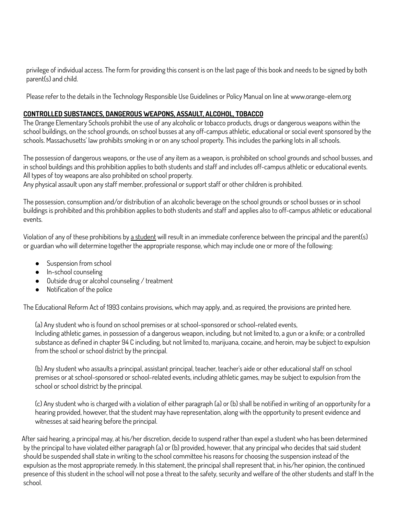privilege of individual access. The form for providing this consent is on the last page of this book and needs to be signed by both parent(s) and child.

Please refer to the details in the Technology Responsible Use Guidelines or Policy Manual on line at www.orange-elem.org

## **CONTROLLED SUBSTANCES, DANGEROUS WEAPONS, ASSAULT, ALCOHOL, TOBACCO**

The Orange Elementary Schools prohibit the use of any alcoholic or tobacco products, drugs or dangerous weapons within the school buildings, on the school grounds, on school busses at any off-campus athletic, educational or social event sponsored by the schools. Massachusetts' law prohibits smoking in or on any school property. This includes the parking lots in all schools.

The possession of dangerous weapons, or the use of any item as a weapon, is prohibited on school grounds and school busses, and in school buildings and this prohibition applies to both students and staff and includes off-campus athletic or educational events. All types of toy weapons are also prohibited on school property.

Any physical assault upon any staff member, professional or support staff or other children is prohibited.

The possession, consumption and/or distribution of an alcoholic beverage on the school grounds or school busses or in school buildings is prohibited and this prohibition applies to both students and staff and applies also to off-campus athletic or educational events.

Violation of any of these prohibitions by a student will result in an immediate conference between the principal and the parent(s) or guardian who will determine together the appropriate response, which may include one or more of the following:

- Suspension from school
- In-school counseling
- Outside drug or alcohol counseling / treatment
- Notification of the police

The Educational Reform Act of 1993 contains provisions, which may apply, and, as required, the provisions are printed here.

(a) Any student who is found on school premises or at school-sponsored or school-related events, Including athletic games, in possession of a dangerous weapon, including, but not limited to, a gun or a knife; or a controlled substance as defined in chapter 94 C including, but not limited to, marijuana, cocaine, and heroin, may be subject to expulsion from the school or school district by the principal.

(b) Any student who assaults a principal, assistant principal, teacher, teacher's aide or other educational staff on school premises or at school-sponsored or school-related events, including athletic games, may be subject to expulsion from the school or school district by the principal.

(c) Any student who is charged with a violation of either paragraph (a) or (b) shall be notified in writing of an opportunity for a hearing provided, however, that the student may have representation, along with the opportunity to present evidence and witnesses at said hearing before the principal.

After said hearing, a principal may, at his/her discretion, decide to suspend rather than expel a student who has been determined by the principal to have violated either paragraph (a) or (b) provided, however, that any principal who decides that said student should be suspended shall state in writing to the school committee his reasons for choosing the suspension instead of the expulsion as the most appropriate remedy. In this statement, the principal shall represent that, in his/her opinion, the continued presence of this student in the school will not pose a threat to the safety, security and welfare of the other students and staff In the school.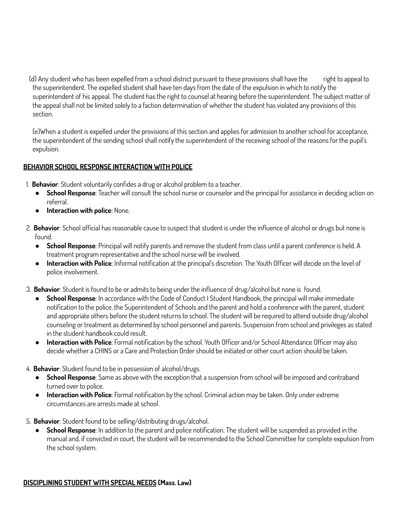(d) Any student who has been expelled from a school district pursuant to these provisions shall have the right to appeal to the superintendent. The expelled student shall have ten days from the date of the expulsion in which to notify the superintendent of his appeal. The student has the right to counsel at hearing before the superintendent. The subject matter of the appeal shall not be limited solely to a faction determination of whether the student has violated any provisions of this section.

(e)When a student is expelled under the provisions of this section and applies for admission to another school for acceptance, the superintendent of the sending school shall notify the superintendent of the receiving school of the reasons for the pupil's expulsion.

## **BEHAVIOR SCHOOL RESPONSE INTERACTION WITH POLICE**

- 1. **Behavior**: Student voluntarily confides a drug or alcohol problem to a teacher.
	- **School Response**: Teacher will consult the school nurse or counselor and the principal for assistance in deciding action on referral.
	- **Interaction with police**: None.
- 2. **Behavior**: School official has reasonable cause to suspect that student is under the influence of alcohol or drugs but none is found.
	- **School Response**: Principal will notify parents and remove the student from class until a parent conference is held. A treatment program representative and the school nurse will be involved.
	- **Interaction with Police**: Informal notification at the principal's discretion. The Youth Officer will decide on the level of police involvement.
- 3. **Behavior**: Student is found to be or admits to being under the influence of drug/alcohol but none is found.
	- **School Response**: In accordance with the Code of Conduct I Student Handbook, the principal will make immediate notification to the police, the Superintendent of Schools and the parent and hold a conference with the parent, student and appropriate others before the student returns to school. The student will be required to attend outside drug/alcohol counseling or treatment as determined by school personnel and parents. Suspension from school and privileges as stated in the student handbook could result.
	- **Interaction with Police**: Formal notification by the school. Youth Officer and/or School Attendance Officer may also decide whether a CHINS or a Care and Protection Order should be initiated or other court action should be taken.
- 4. **Behavior**: Student found to be in possession of alcohol/drugs.
	- **School Response**: Same as above with the exception that a suspension from school will be imposed and contraband turned over to police.
	- **Interaction with Police**: Formal notification by the school. Criminal action may be taken. Only under extreme circumstances are arrests made at school.
- 5. **Behavior**: Student found to be selling/distributing drugs/alcohol.
	- **School Response**: In addition to the parent and police notification. The student will be suspended as provided in the manual and, if convicted in court, the student will be recommended to the School Committee for complete expulsion from the school system.

#### **DISCIPLINING STUDENT WITH SPECIAL NEEDS (Mass. Law)**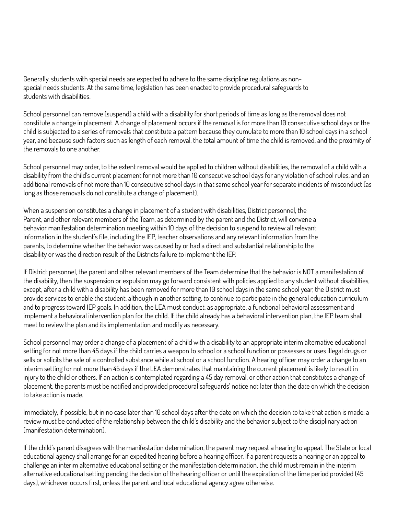Generally, students with special needs are expected to adhere to the same discipline regulations as nonspecial needs students. At the same time, legislation has been enacted to provide procedural safeguards to students with disabilities.

School personnel can remove (suspend) a child with a disability for short periods of time as long as the removal does not constitute a change in placement. A change of placement occurs if the removal is for more than 10 consecutive school days or the child is subjected to a series of removals that constitute a pattern because they cumulate to more than 10 school days in a school year, and because such factors such as length of each removal, the total amount of time the child is removed, and the proximity of the removals to one another.

School personnel may order, to the extent removal would be applied to children without disabilities, the removal of a child with a disability from the child's current placement for not more than 10 consecutive school days for any violation of school rules, and an additional removals of not more than 10 consecutive school days in that same school year for separate incidents of misconduct (as long as those removals do not constitute a change of placement).

When a suspension constitutes a change in placement of a student with disabilities, District personnel, the Parent, and other relevant members of the Team, as determined by the parent and the District, will convene a behavior manifestation determination meeting within 10 days of the decision to suspend to review all relevant information in the student's file, including the IEP, teacher observations and any relevant information from the parents, to determine whether the behavior was caused by or had a direct and substantial relationship to the disability or was the direction result of the Districts failure to implement the IEP.

If District personnel, the parent and other relevant members of the Team determine that the behavior is NOT a manifestation of the disability, then the suspension or expulsion may go forward consistent with policies applied to any student without disabilities, except, after a child with a disability has been removed for more than 10 school days in the same school year, the District must provide services to enable the student, although in another setting, to continue to participate in the general education curriculum and to progress toward IEP goals. In addition, the LEA must conduct, as appropriate, a functional behavioral assessment and implement a behavioral intervention plan for the child. If the child already has a behavioral intervention plan, the IEP team shall meet to review the plan and its implementation and modify as necessary.

School personnel may order a change of a placement of a child with a disability to an appropriate interim alternative educational setting for not more than 45 days if the child carries a weapon to school or a school function or possesses or uses illegal drugs or sells or solicits the sale of a controlled substance while at school or a school function. A hearing officer may order a change to an interim setting for not more than 45 days if the LEA demonstrates that maintaining the current placement is likely to result in injury to the child or others. If an action is contemplated regarding a 45 day removal, or other action that constitutes a change of placement, the parents must be notified and provided procedural safeguards' notice not later than the date on which the decision to take action is made.

Immediately, if possible, but in no case later than 10 school days after the date on which the decision to take that action is made, a review must be conducted of the relationship between the child's disability and the behavior subject to the disciplinary action (manifestation determination).

If the child's parent disagrees with the manifestation determination, the parent may request a hearing to appeal. The State or local educational agency shall arrange for an expedited hearing before a hearing officer. If a parent requests a hearing or an appeal to challenge an interim alternative educational setting or the manifestation determination, the child must remain in the interim alternative educational setting pending the decision of the hearing officer or until the expiration of the time period provided (45 days), whichever occurs first, unless the parent and local educational agency agree otherwise.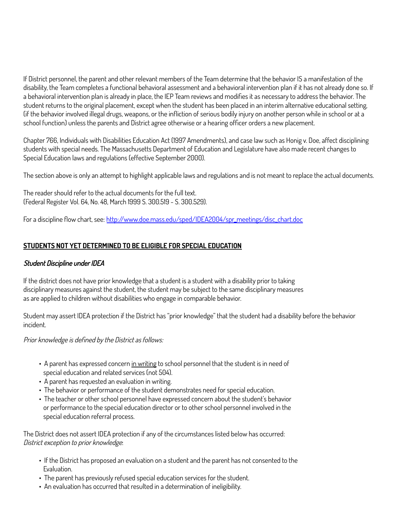If District personnel, the parent and other relevant members of the Team determine that the behavior IS a manifestation of the disability, the Team completes a functional behavioral assessment and a behavioral intervention plan if it has not already done so. If a behavioral intervention plan is already in place, the IEP Team reviews and modifies it as necessary to address the behavior. The student returns to the original placement, except when the student has been placed in an interim alternative educational setting, (if the behavior involved illegal drugs, weapons, or the infliction of serious bodily injury on another person while in school or at a school function) unless the parents and District agree otherwise or a hearing officer orders a new placement.

Chapter 766, Individuals with Disabilities Education Act (1997 Amendments), and case law such as Honig v. Doe, affect disciplining students with special needs. The Massachusetts Department of Education and Legislature have also made recent changes to Special Education laws and regulations (effective September 2000).

The section above is only an attempt to highlight applicable laws and regulations and is not meant to replace the actual documents.

The reader should refer to the actual documents for the full text. (Federal Register Vol. 64, No. 48, March 1999 S. 300.519 - S. 300.529).

For a discipline flow chart, see: [http://www.doe.mass.edu/sped/IDEA2004/spr](http://www.doe.mass.edu/sped/IDEA2004/spr_meetings/disc_chart.doc)**\_**meetings/disc\_chart.doc

## **STUDENTS NOT YET DETERMINED TO BE ELIGIBLE FOR SPECIAL EDUCATION**

## Student Discipline under IDEA

If the district does not have prior knowledge that a student is a student with a disability prior to taking disciplinary measures against the student, the student may be subject to the same disciplinary measures as are applied to children without disabilities who engage in comparable behavior.

Student may assert IDEA protection if the District has "prior knowledge" that the student had a disability before the behavior incident.

Prior knowledge is defined by the District as follows:

- A parent has expressed concern in writing to school personnel that the student is in need of special education and related services (not 504).
- A parent has requested an evaluation in writing.
- The behavior or performance of the student demonstrates need for special education.
- The teacher or other school personnel have expressed concern about the student's behavior or performance to the special education director or to other school personnel involved in the special education referral process.

The District does not assert IDEA protection if any of the circumstances listed below has occurred: District exception to prior knowledge:

- If the District has proposed an evaluation on a student and the parent has not consented to the Evaluation.
- The parent has previously refused special education services for the student.
- An evaluation has occurred that resulted in a determination of ineligibility.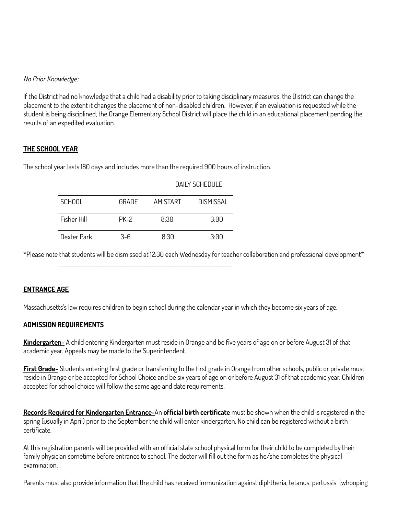#### No Prior Knowledge:

If the District had no knowledge that a child had a disability prior to taking disciplinary measures, the District can change the placement to the extent it changes the placement of non-disabled children. However, if an evaluation is requested while the student is being disciplined, the Orange Elementary School District will place the child in an educational placement pending the results of an expedited evaluation.

#### **THE SCHOOL YEAR**

The school year lasts 180 days and includes more than the required 900 hours of instruction.

|                    |       | DAILY SCHEDULE |                  |
|--------------------|-------|----------------|------------------|
| <b>SCHOOL</b>      | GRADE | AM START       | <b>DISMISSAL</b> |
| <b>Fisher Hill</b> | PK-2  | 8:30           | 3:00             |
| Dexter Park        | $3-6$ | 8.30           | 3:00             |

\_\_\_\_\_\_\_\_\_\_\_\_\_\_\_\_\_\_\_\_\_\_\_\_\_\_\_\_\_\_\_\_\_\_\_\_\_\_\_\_\_\_\_\_\_\_\_\_\_\_\_\_\_\_\_\_\_\_\_\_\_\_\_\_\_\_\_\_\_\_\_\_\_

\*Please note that students will be dismissed at 12:30 each Wednesday for teacher collaboration and professional development\*

## **ENTRANCE AGE**

Massachusetts's law requires children to begin school during the calendar year in which they become six years of age.

#### **ADMISSION REQUIREMENTS**

**Kindergarten-** A child entering Kindergarten must reside in Orange and be five years of age on or before August 31 of that academic year. Appeals may be made to the Superintendent.

**First Grade-** Students entering first grade or transferring to the first grade in Orange from other schools, public or private must reside in Orange or be accepted for School Choice and be six years of age on or before August 31 of that academic year. Children accepted for school choice will follow the same age and date requirements.

**Records Required for Kindergarten Entrance-**An **official birth certificate** must be shown when the child is registered in the spring (usually in April) prior to the September the child will enter kindergarten. No child can be registered without a birth certificate.

At this registration parents will be provided with an official state school physical form for their child to be completed by their family physician sometime before entrance to school. The doctor will fill out the form as he/she completes the physical examination.

Parents must also provide information that the child has received immunization against diphtheria, tetanus, pertussis (whooping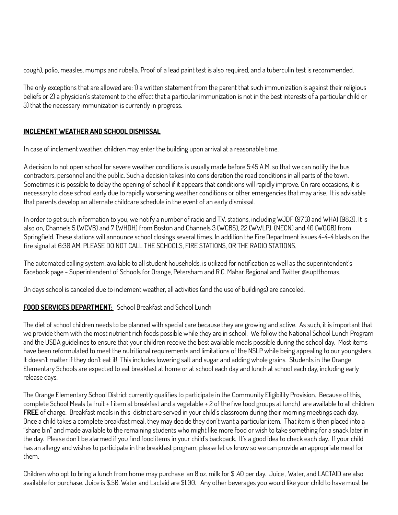cough), polio, measles, mumps and rubella. Proof of a lead paint test is also required, and a tuberculin test is recommended.

The only exceptions that are allowed are: 1) a written statement from the parent that such immunization is against their religious beliefs or 2) a physician's statement to the effect that a particular immunization is not in the best interests of a particular child or 3) that the necessary immunization is currently in progress.

## **INCLEMENT WEATHER AND SCHOOL DISMISSAL**

In case of inclement weather, children may enter the building upon arrival at a reasonable time.

A decision to not open school for severe weather conditions is usually made before 5:45 A.M. so that we can notify the bus contractors, personnel and the public. Such a decision takes into consideration the road conditions in all parts of the town. Sometimes it is possible to delay the opening of school if it appears that conditions will rapidly improve. On rare occasions, it is necessary to close school early due to rapidly worsening weather conditions or other emergencies that may arise. It is advisable that parents develop an alternate childcare schedule in the event of an early dismissal.

In order to get such information to you, we notify a number of radio and T.V. stations, including WJDF (97.3) and WHAI (98.3). It is also on, Channels 5 (WCVB) and 7 (WHDH) from Boston and Channels 3 (WCBS), 22 (WWLP), (NECN) and 40 (WGGB) from Springfield. These stations will announce school closings several times. In addition the Fire Department issues 4-4-4 blasts on the fire signal at 6:30 AM. PLEASE DO NOT CALL THE SCHOOLS, FIRE STATIONS, OR THE RADIO STATIONS.

The automated calling system, available to all student households, is utilized for notification as well as the superintendent's Facebook page - Superintendent of Schools for Orange, Petersham and R.C. Mahar Regional and Twitter @suptthomas.

On days school is canceled due to inclement weather, all activities (and the use of buildings) are canceled.

## **FOOD SERVICES DEPARTMENT:** School Breakfast and School Lunch

The diet of school children needs to be planned with special care because they are growing and active. As such, it is important that we provide them with the most nutrient rich foods possible while they are in school. We follow the National School Lunch Program and the USDA guidelines to ensure that your children receive the best available meals possible during the school day. Most items have been reformulated to meet the nutritional requirements and limitations of the NSLP while being appealing to our youngsters. It doesn't matter if they don't eat it! This includes lowering salt and sugar and adding whole grains. Students in the Orange Elementary Schools are expected to eat breakfast at home or at school each day and lunch at school each day, including early release days.

The Orange Elementary School District currently qualifies to participate in the Community Eligibility Provision. Because of this, complete School Meals (a fruit + 1 item at breakfast and a vegetable + 2 of the five food groups at lunch) are available to all children **FREE** of charge. Breakfast meals in this district are served in your child's classroom during their morning meetings each day. Once a child takes a complete breakfast meal, they may decide they don't want a particular item. That item is then placed into a "share bin" and made available to the remaining students who might like more food or wish to take something for a snack later in the day. Please don't be alarmed if you find food items in your child's backpack. It's a good idea to check each day. If your child has an allergy and wishes to participate in the breakfast program, please let us know so we can provide an appropriate meal for them.

Children who opt to bring a lunch from home may purchase an 8 oz. milk for \$ .40 per day. Juice , Water, and LACTAID are also available for purchase. Juice is \$.50. Water and Lactaid are \$1.00. Any other beverages you would like your child to have must be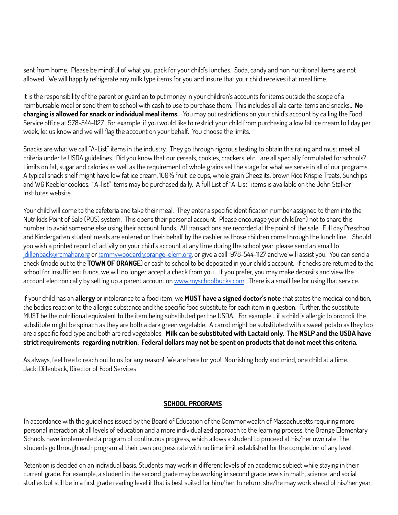sent from home. Please be mindful of what you pack for your child's lunches. Soda, candy and non nutritional items are not allowed. We will happily refrigerate any milk type items for you and insure that your child receives it at meal time.

It is the responsibility of the parent or guardian to put money in your children's accounts for items outside the scope of a reimbursable meal or send them to school with cash to use to purchase them. This includes all ala carte items and snacks.. **No charging is allowed for snack or individual meal items.** You may put restrictions on your child's account by calling the Food Service office at 978-544-1127. For example, if you would like to restrict your child from purchasing a low fat ice cream to 1 day per week, let us know and we will flag the account on your behalf. You choose the limits.

Snacks are what we call "A-List" items in the industry. They go through rigorous testing to obtain this rating and must meet all criteria under te USDA guidelines. Did you know that our cereals, cookies, crackers, etc… are all specially formulated for schools? Limits on fat, sugar and calories as well as the requirement of whole grains set the stage for what we serve in all of our programs. A typical snack shelf might have low fat ice cream, 100% fruit ice cups, whole grain Cheez its, brown Rice Krispie Treats, Sunchips and WG Keebler cookies. "A-list" items may be purchased daily. A full List of "A-List" items is available on the John Stalker Institutes website.

Your child will come to the cafeteria and take their meal. They enter a specific identification number assigned to them into the Nutrikids Point of Sale (POS) system. This opens their personal account. Please encourage your child(ren) not to share this number to avoid someone else using their account funds. All transactions are recorded at the point of the sale. Full day Preschool and Kindergarten student meals are entered on their behalf by the cashier as those children come through the lunch line. Should you wish a printed report of activity on your child's account at any time during the school year, please send an email to [jdillenback@rcmahar.org](mailto:jdillenback@rcmahar.org) or t[ammywoodard@orange-elem.org](mailto:tammywoodard@orange-elem.org), or give a call 978-544-1127 and we will assist you. You can send a check (made out to the **TOWN OF ORANGE**) or cash to school to be deposited in your child's account. If checks are returned to the school for insufficient funds, we will no longer accept a check from you. If you prefer, you may make deposits and view the account electronically by setting up a parent account on [www.myschoolbucks.com](http://www.myschoolbucks.com). There is a small fee for using that service.

If your child has an **allergy** or intolerance to a food item, we **MUST have a signed doctor's note** that states the medical condition, the bodies reaction to the allergic substance and the specific food substitute for each item in question. Further, the substitute MUST be the nutritional equivalent to the item being substituted per the USDA. For example… if a child is allergic to broccoli, the substitute might be spinach as they are both a dark green vegetable. A carrot might be substituted with a sweet potato as they too are a specific food type and both are red vegetables. **Milk can be substituted with Lactaid only. The NSLP and the USDA have** strict requirements regarding nutrition. Federal dollars may not be spent on products that do not meet this criteria.

As always, feel free to reach out to us for any reason! We are here for you! Nourishing body and mind, one child at a time. Jacki Dillenback, Director of Food Services

#### **SCHOOL PROGRAMS**

In accordance with the guidelines issued by the Board of Education of the Commonwealth of Massachusetts requiring more personal interaction at all levels of education and a more individualized approach to the learning process, the Orange Elementary Schools have implemented a program of continuous progress, which allows a student to proceed at his/her own rate. The students go through each program at their own progress rate with no time limit established for the completion of any level.

Retention is decided on an individual basis. Students may work in different levels of an academic subject while staying in their current grade. For example, a student in the second grade may be working in second grade levels in math, science, and social studies but still be in a first grade reading level if that is best suited for him/her. In return, she/he may work ahead of his/her year.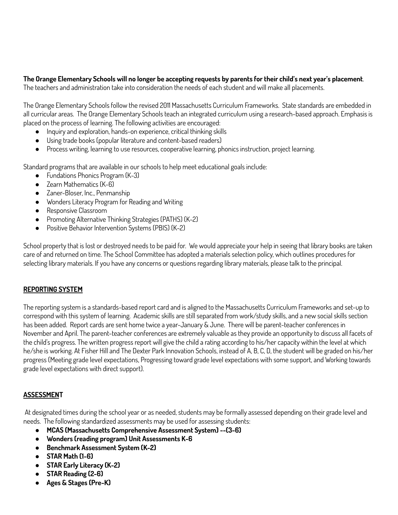## The Orange Elementary Schools will no longer be accepting requests by parents for their child's next year's placement.

The teachers and administration take into consideration the needs of each student and will make all placements.

The Orange Elementary Schools follow the revised 2011 Massachusetts Curriculum Frameworks. State standards are embedded in all curricular areas. The Orange Elementary Schools teach an integrated curriculum using a research-based approach. Emphasis is placed on the process of learning. The following activities are encouraged:

- Inquiry and exploration, hands-on experience, critical thinking skills
- Using trade books (popular literature and content-based readers)
- Process writing, learning to use resources, cooperative learning, phonics instruction, project learning.

Standard programs that are available in our schools to help meet educational goals include:

- Fundations Phonics Program (K-3)
- Zearn Mathematics (K-6)
- Zaner-Bloser, Inc., Penmanship
- Wonders Literacy Program for Reading and Writing
- Responsive Classroom
- Promoting Alternative Thinking Strategies (PATHS) (K-2)
- Positive Behavior Intervention Systems (PBIS) (K-2)

School property that is lost or destroyed needs to be paid for. We would appreciate your help in seeing that library books are taken care of and returned on time. The School Committee has adopted a materials selection policy, which outlines procedures for selecting library materials. If you have any concerns or questions regarding library materials, please talk to the principal.

#### **REPORTING SYSTEM**

The reporting system is a standards-based report card and is aligned to the Massachusetts Curriculum Frameworks and set-up to correspond with this system of learning. Academic skills are still separated from work/study skills, and a new social skills section has been added. Report cards are sent home twice a year-January & June. There will be parent-teacher conferences in November and April. The parent-teacher conferences are extremely valuable as they provide an opportunity to discuss all facets of the child's progress. The written progress report will give the child a rating according to his/her capacity within the level at which he/she is working. At Fisher Hill and The Dexter Park Innovation Schools, instead of A, B, C, D, the student will be graded on his/her progress (Meeting grade level expectations, Progressing toward grade level expectations with some support, and Working towards grade level expectations with direct support).

## **ASSESSMENT**

At designated times during the school year or as needed, students may be formally assessed depending on their grade level and needs. The following standardized assessments may be used for assessing students:

- **MCAS (Massachusetts Comprehensive Assessment System) --(3-6)**
- **Wonders (reading program) Unit Assessments K-6**
- **● Benchmark Assessment System (K-2)**
- **STAR Math (1-6)**
- **● STAR Early Literacy (K-2)**
- **● STAR Reading (2-6)**
- **Ages & Stages (Pre-K)**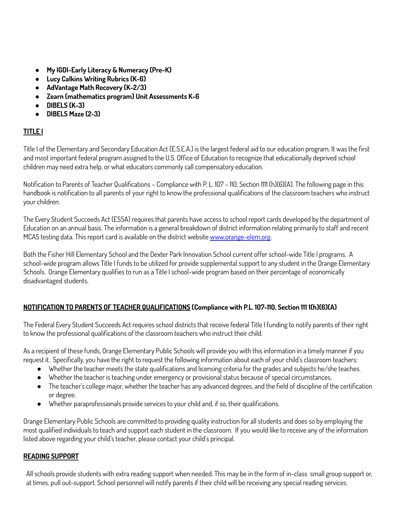- **● My IGDI-Early Literacy & Numeracy (Pre-K)**
- **● Lucy Calkins Writing Rubrics (K-6)**
- **● AdVantage Math Recovery (K-2/3)**
- **● Zearn (mathematics program) Unit Assessments K-6**
- **● DIBELS (K-3)**
- **● DIBELS Maze (2-3)**

## **TITLE I**

Title I of the Elementary and Secondary Education Act (E.S.E.A.) is the largest federal aid to our education program. It was the first and most important federal program assigned to the U.S. Office of Education to recognize that educationally deprived school children may need extra help, or what educators commonly call compensatory education.

Notification to Parents of Teacher Qualifications – Compliance with P. L. 107 – 110, Section 1111 (h)(6)(A). The following page in this handbook is notification to all parents of your right to know the professional qualifications of the classroom teachers who instruct your children.

The Every Student Succeeds Act (ESSA) requires that parents have access to school report cards developed by the department of Education on an annual basis. The information is a general breakdown of district information relating primarily to staff and recent MCAS testing data. This report card is available on the district website [www.orange-elem.org](http://www.orange-elem.org).

Both the Fisher Hill Elementary School and the Dexter Park Innovation School current offer school-wide Title I programs. A school-wide program allows Title I funds to be utilized for provide supplemental support to any student in the Orange Elementary Schools. Orange Elementary qualifies to run as a Title I school-wide program based on their percentage of economically disadvantaged students.

## **NOTIFICATION TO PARENTS OF TEACHER QUALIFICATIONS (Compliance with P.L. 107-110, Section 111 1(h)(6)(A)**

The Federal Every Student Succeeds Act requires school districts that receive federal Title I funding to notify parents of their right to know the professional qualifications of the classroom teachers who instruct their child.

As a recipient of these funds, Orange Elementary Public Schools will provide you with this information in a timely manner if you request it. Specifically, you have the right to request the following information about each of your child's classroom teachers:

- Whether the teacher meets the state qualifications and licensing criteria for the grades and subjects he/she teaches.
- Whether the teacher is teaching under emergency or provisional status because of special circumstances.
- The teacher's college major, whether the teacher has any advanced degrees, and the field of discipline of the certification or degree.
- Whether paraprofessionals provide services to your child and, if so, their qualifications.

Orange Elementary Public Schools are committed to providing quality instruction for all students and does so by employing the most qualified individuals to teach and support each student in the classroom. If you would like to receive any of the information listed above regarding your child's teacher, please contact your child's principal.

## **READING SUPPORT**

All schools provide students with extra reading support when needed. This may be in the form of in-class small group support or, at times, pull out-support. School personnel will notify parents if their child will be receiving any special reading services.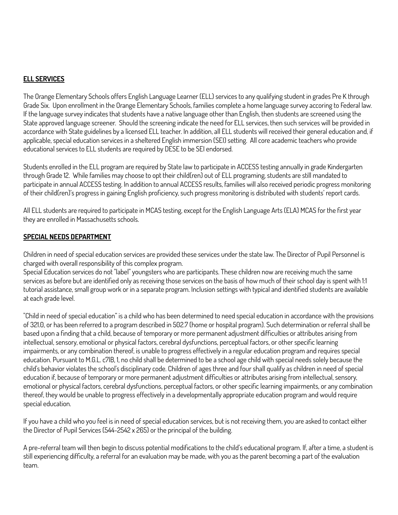### **ELL SERVICES**

The Orange Elementary Schools offers English Language Learner (ELL) services to any qualifying student in grades Pre K through Grade Six. Upon enrollment in the Orange Elementary Schools, families complete a home language survey accoring to Federal law. If the language survey indicates that students have a native language other than English, then students are screened using the State approved language screener. Should the screening indicate the need for ELL services, then such services will be provided in accordance with State guidelines by a licensed ELL teacher. In addition, all ELL students will received their general education and, if applicable, special education services in a sheltered English immersion (SEI) setting. All core academic teachers who provide educational services to ELL students are required by DESE to be SEI endorsed.

Students enrolled in the ELL program are required by State law to participate in ACCESS testing annually in grade Kindergarten through Grade 12. While families may choose to opt their child(ren) out of ELL programing, students are still mandated to participate in annual ACCESS testing. In addition to annual ACCESS results, families will also received periodic progress monitoring of their child(ren)'s progress in gaining English proficiency, such progress monitoring is distributed with students' report cards.

All ELL students are required to participate in MCAS testing, except for the English Language Arts (ELA) MCAS for the first year they are enrolled in Massachusetts schools.

#### **SPECIAL NEEDS DEPARTMENT**

Children in need of special education services are provided these services under the state law. The Director of Pupil Personnel is charged with overall responsibility of this complex program.

Special Education services do not "label" youngsters who are participants. These children now are receiving much the same services as before but are identified only as receiving those services on the basis of how much of their school day is spent with 1:1 tutorial assistance, small group work or in a separate program. Inclusion settings with typical and identified students are available at each grade level.

"Child in need of special education" is a child who has been determined to need special education in accordance with the provisions of 321.0, or has been referred to a program described in 502.7 (home or hospital program). Such determination or referral shall be based upon a finding that a child, because of temporary or more permanent adjustment difficulties or attributes arising from intellectual, sensory, emotional or physical factors, cerebral dysfunctions, perceptual factors, or other specific learning impairments, or any combination thereof, is unable to progress effectively in a regular education program and requires special education. Pursuant to M.G.L. c7lB, 1, no child shall be determined to be a school age child with special needs solely because the child's behavior violates the school's disciplinary code. Children of ages three and four shall qualify as children in need of special education if, because of temporary or more permanent adjustment difficulties or attributes arising from intellectual, sensory, emotional or physical factors, cerebral dysfunctions, perceptual factors, or other specific learning impairments, or any combination thereof, they would be unable to progress effectively in a developmentally appropriate education program and would require special education.

If you have a child who you feel is in need of special education services, but is not receiving them, you are asked to contact either the Director of Pupil Services (544-2542 x 265) or the principal of the building.

A pre-referral team will then begin to discuss potential modifications to the child's educational program. If, after a time, a student is still experiencing difficulty, a referral for an evaluation may be made, with you as the parent becoming a part of the evaluation team.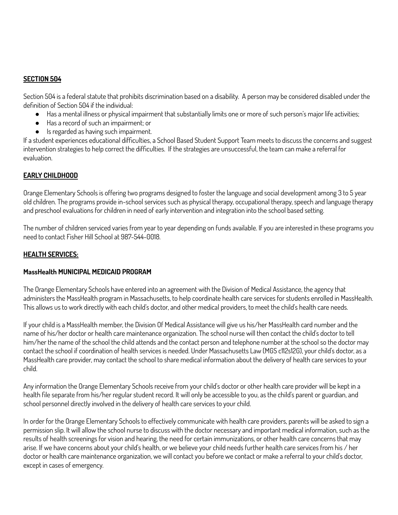#### **SECTION 504**

Section 504 is a federal statute that prohibits discrimination based on a disability. A person may be considered disabled under the definition of Section 504 if the individual:

- Has a mental illness or physical impairment that substantially limits one or more of such person's major life activities;
- Has a record of such an impairment; or
- Is regarded as having such impairment.

If a student experiences educational difficulties, a School Based Student Support Team meets to discuss the concerns and suggest intervention strategies to help correct the difficulties. If the strategies are unsuccessful, the team can make a referral for evaluation.

## **EARLY CHILDHOOD**

Orange Elementary Schools is offering two programs designed to foster the language and social development among 3 to 5 year old children. The programs provide in-school services such as physical therapy, occupational therapy, speech and language therapy and preschool evaluations for children in need of early intervention and integration into the school based setting.

The number of children serviced varies from year to year depending on funds available. If you are interested in these programs you need to contact Fisher Hill School at 987-544-0018.

#### **HEALTH SERVICES:**

#### **MassHealth MUNICIPAL MEDICAID PROGRAM**

The Orange Elementary Schools have entered into an agreement with the Division of Medical Assistance, the agency that administers the MassHealth program in Massachusetts, to help coordinate health care services for students enrolled in MassHealth. This allows us to work directly with each child's doctor, and other medical providers, to meet the child's health care needs.

If your child is a MassHealth member, the Division Of Medical Assistance will give us his/her MassHealth card number and the name of his/her doctor or health care maintenance organization. The school nurse will then contact the child's doctor to tell him/her the name of the school the child attends and the contact person and telephone number at the school so the doctor may contact the school if coordination of health services is needed. Under Massachusetts Law (MGS c112s12G), your child's doctor, as a MassHealth care provider, may contact the school to share medical information about the delivery of health care services to your child.

Any information the Orange Elementary Schools receive from your child's doctor or other health care provider will be kept in a health file separate from his/her regular student record. It will only be accessible to you, as the child's parent or guardian, and school personnel directly involved in the delivery of health care services to your child.

In order for the Orange Elementary Schools to effectively communicate with health care providers, parents will be asked to sign a permission slip. It will allow the school nurse to discuss with the doctor necessary and important medical information, such as the results of health screenings for vision and hearing, the need for certain immunizations, or other health care concerns that may arise. If we have concerns about your child's health, or we believe your child needs further health care services from his / her doctor or health care maintenance organization, we will contact you before we contact or make a referral to your child's doctor, except in cases of emergency.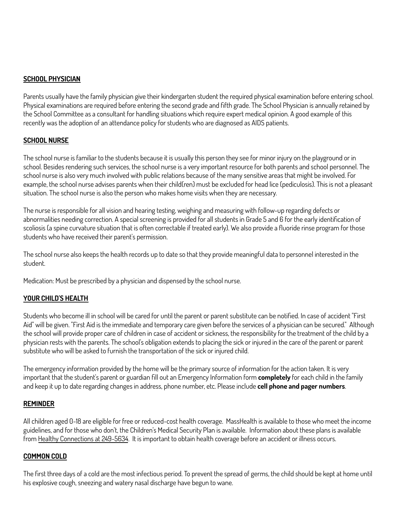### **SCHOOL PHYSICIAN**

Parents usually have the family physician give their kindergarten student the required physical examination before entering school. Physical examinations are required before entering the second grade and fifth grade. The School Physician is annually retained by the School Committee as a consultant for handling situations which require expert medical opinion. A good example of this recently was the adoption of an attendance policy for students who are diagnosed as AIDS patients.

#### **SCHOOL NURSE**

The school nurse is familiar to the students because it is usually this person they see for minor injury on the playground or in school. Besides rendering such services, the school nurse is a very important resource for both parents and school personnel. The school nurse is also very much involved with public relations because of the many sensitive areas that might be involved. For example, the school nurse advises parents when their child(ren) must be excluded for head lice (pediculosis). This is not a pleasant situation. The school nurse is also the person who makes home visits when they are necessary.

The nurse is responsible for all vision and hearing testing, weighing and measuring with follow-up regarding defects or abnormalities needing correction. A special screening is provided for all students in Grade 5 and 6 for the early identification of scoliosis (a spine curvature situation that is often correctable if treated early). We also provide a fluoride rinse program for those students who have received their parent's permission.

The school nurse also keeps the health records up to date so that they provide meaningful data to personnel interested in the student.

Medication: Must be prescribed by a physician and dispensed by the school nurse.

#### **YOUR CHILD'S HEALTH**

Students who become ill in school will be cared for until the parent or parent substitute can be notified. In case of accident "First Aid" will be given. "First Aid is the immediate and temporary care given before the services of a physician can be secured." Although the school will provide proper care of children in case of accident or sickness, the responsibility for the treatment of the child by a physician rests with the parents. The school's obligation extends to placing the sick or injured in the care of the parent or parent substitute who will be asked to furnish the transportation of the sick or injured child.

The emergency information provided by the home will be the primary source of information for the action taken. It is very important that the student's parent or guardian fill out an Emergency Information form **completely** for each child in the family and keep it up to date regarding changes in address, phone number, etc. Please include **cell phone and pager numbers**.

#### **REMINDER**

All children aged 0-18 are eligible for free or reduced-cost health coverage. MassHealth is available to those who meet the income guidelines, and for those who don't, the Children's Medical Security Plan is available. Information about these plans is available from Healthy Connections at 249-5634. It is important to obtain health coverage before an accident or illness occurs.

#### **COMMON COLD**

The first three days of a cold are the most infectious period. To prevent the spread of germs, the child should be kept at home until his explosive cough, sneezing and watery nasal discharge have begun to wane.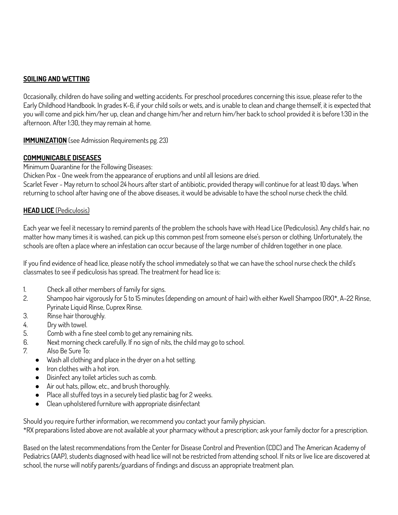## **SOILING AND WETTING**

Occasionally, children do have soiling and wetting accidents. For preschool procedures concerning this issue, please refer to the Early Childhood Handbook. In grades K-6, if your child soils or wets, and is unable to clean and change themself, it is expected that you will come and pick him/her up, clean and change him/her and return him/her back to school provided it is before 1:30 in the afternoon. After 1:30, they may remain at home.

**IMMUNIZATION** (see Admission Requirements pg. 23)

#### **COMMUNICABLE DISEASES**

Minimum Quarantine for the Following Diseases:

Chicken Pox - One week from the appearance of eruptions and until all lesions are dried.

Scarlet Fever - May return to school 24 hours after start of antibiotic, provided therapy will continue for at least 10 days. When returning to school after having one of the above diseases, it would be advisable to have the school nurse check the child.

#### **HEAD LICE** (Pediculosis)

Each year we feel it necessary to remind parents of the problem the schools have with Head Lice (Pediculosis). Any child's hair, no matter how many times it is washed, can pick up this common pest from someone else's person or clothing. Unfortunately, the schools are often a place where an infestation can occur because of the large number of children together in one place.

If you find evidence of head lice, please notify the school immediately so that we can have the school nurse check the child's classmates to see if pediculosis has spread. The treatment for head lice is:

- 1. Check all other members of family for signs.
- 2. Shampoo hair vigorously for 5 to 15 minutes (depending on amount of hair) with either Kwell Shampoo (RX)\*, A-22 Rinse, Pyrinate Liquid Rinse, Cuprex Rinse.
- 3. Rinse hair thoroughly.
- 4. Dry with towel.
- 5. Comb with a fine steel comb to get any remaining nits.
- 6. Next morning check carefully. If no sign of nits, the child may go to school.
- 7. Also Be Sure To:
	- Wash all clothing and place in the dryer on a hot setting.
	- Iron clothes with a hot iron.
	- Disinfect any toilet articles such as comb.
	- Air out hats, pillow, etc., and brush thoroughly.
	- Place all stuffed toys in a securely tied plastic bag for 2 weeks.
	- Clean upholstered furniture with appropriate disinfectant

Should you require further information, we recommend you contact your family physician.

\*RX preparations listed above are not available at your pharmacy without a prescription; ask your family doctor for a prescription.

Based on the latest recommendations from the Center for Disease Control and Prevention (CDC) and The American Academy of Pediatrics (AAP), students diagnosed with head lice will not be restricted from attending school. If nits or live lice are discovered at school, the nurse will notify parents/guardians of findings and discuss an appropriate treatment plan.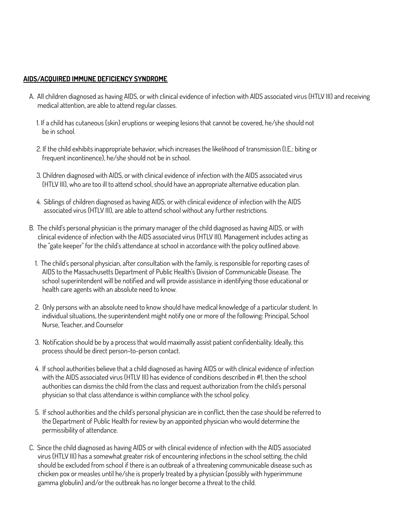#### **AIDS/ACQUIRED IMMUNE DEFICIENCY SYNDROME**

- A. All children diagnosed as having AlDS, or with clinical evidence of infection with AlDS associated virus (HTLV III) and receiving medical attention, are able to attend regular classes.
	- 1. If a child has cutaneous (skin) eruptions or weeping lesions that cannot be covered, he/she should not be in school.
	- 2. If the child exhibits inappropriate behavior, which increases the likelihood of transmission (I.E.: biting or frequent incontinence), he/she should not be in school.
	- 3. Children diagnosed with AIDS, or with clinical evidence of infection with the AIDS associated virus (HTLV III), who are too ill to attend school, should have an appropriate alternative education plan.
	- 4. Siblings of children diagnosed as having AIDS, or with clinical evidence of infection with the AIDS associated virus (HTLV III), are able to attend school without any further restrictions.
- B. The child's personal physician is the primary manager of the child diagnosed as having AIDS, or with clinical evidence of infection with the AIDS associated virus (HTLV III). Management includes acting as the "gate keeper" for the child's attendance at school in accordance with the policy outlined above.
	- 1. The child's personal physician, after consultation with the family, is responsible for reporting cases of AIDS to the Massachusetts Department of Public Health's Division of Communicable Disease. The school superintendent will be notified and will provide assistance in identifying those educational or health care agents with an absolute need to know.
	- 2. Only persons with an absolute need to know should have medical knowledge of a particular student. In individual situations, the superintendent might notify one or more of the following: Principal, School Nurse, Teacher, and Counselor
	- 3. Notification should be by a process that would maximally assist patient confidentiality. Ideally, this process should be direct person-to-person contact.
	- 4. If school authorities believe that a child diagnosed as having AIDS or with clinical evidence of infection with the AIDS associated virus (HTLV III) has evidence of conditions described in #1, then the school authorities can dismiss the child from the class and request authorization from the child's personal physician so that class attendance is within compliance with the school policy.
	- 5. If school authorities and the child's personal physician are in conflict, then the case should be referred to the Department of Public Health for review by an appointed physician who would determine the permissibility of attendance.
- C. Since the child diagnosed as having AIDS or with clinical evidence of infection with the AIDS associated virus (HTLV III) has a somewhat greater risk of encountering infections in the school setting, the child should be excluded from school if there is an outbreak of a threatening communicable disease such as chicken pox or measles until he/she is properly treated by a physician (possibly with hyperimmune gamma globulin) and/or the outbreak has no longer become a threat to the child.